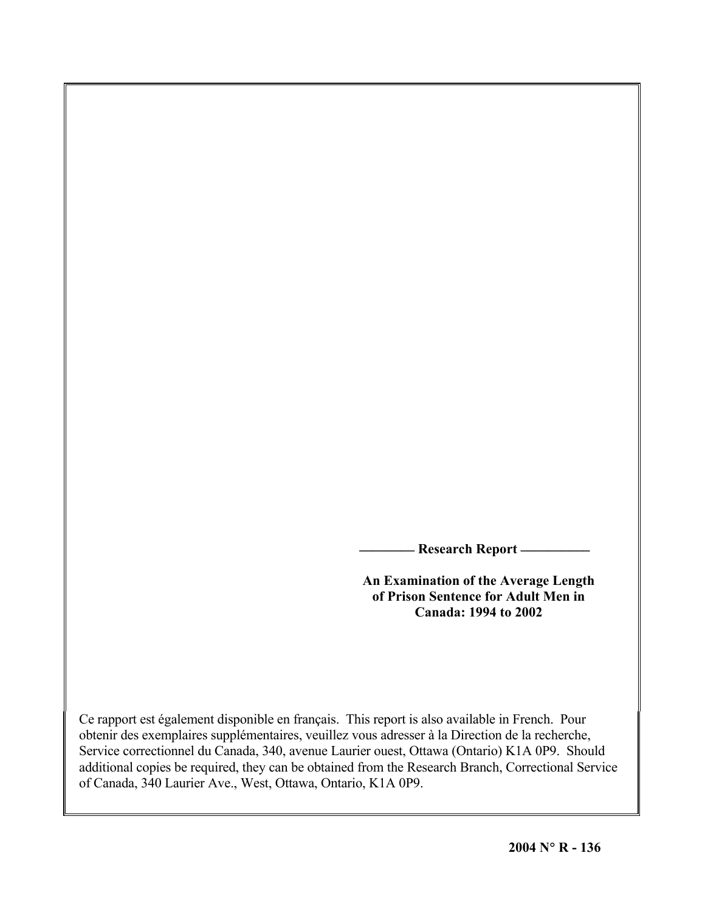**\_\_\_\_\_\_\_\_ Research Report \_\_\_\_\_\_\_\_\_\_**

**An Examination of the Average Length of Prison Sentence for Adult Men in Canada: 1994 to 2002** 

Ce rapport est également disponible en français. This report is also available in French. Pour obtenir des exemplaires supplémentaires, veuillez vous adresser à la Direction de la recherche, Service correctionnel du Canada, 340, avenue Laurier ouest, Ottawa (Ontario) K1A 0P9. Should additional copies be required, they can be obtained from the Research Branch, Correctional Service of Canada, 340 Laurier Ave., West, Ottawa, Ontario, K1A 0P9.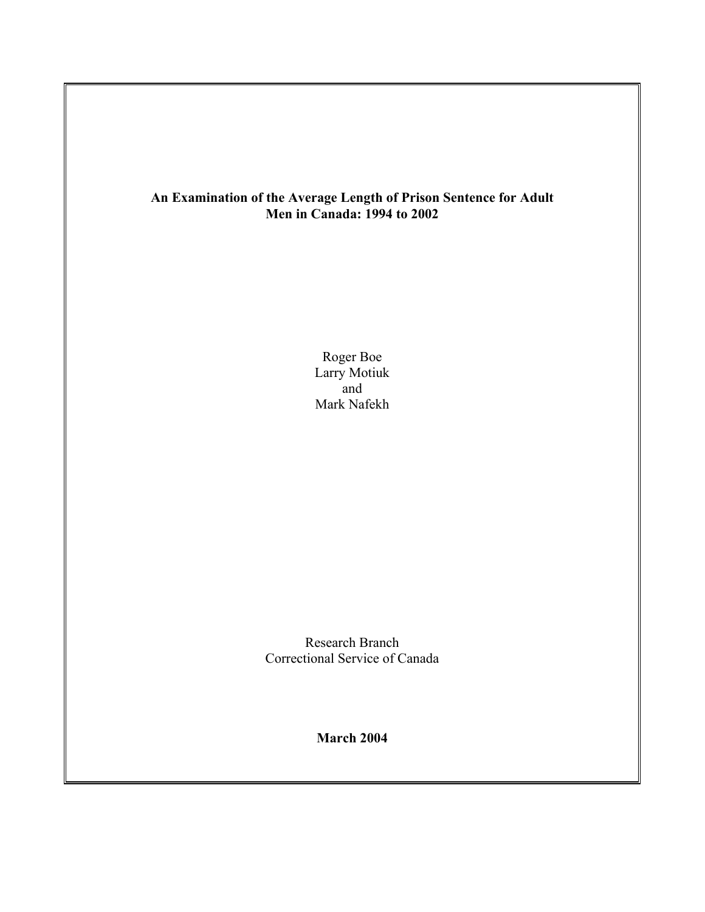# **An Examination of the Average Length of Prison Sentence for Adult Men in Canada: 1994 to 2002**

Roger Boe Larry Motiuk and Mark Nafekh

Research Branch Correctional Service of Canada

**March 2004**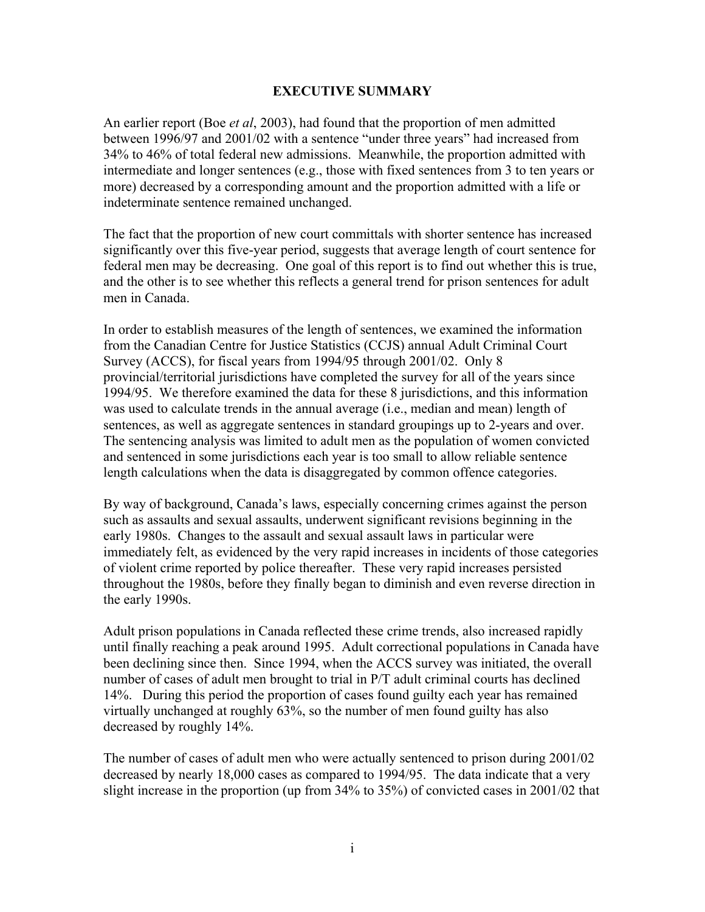## **EXECUTIVE SUMMARY**

An earlier report (Boe *et al*, 2003), had found that the proportion of men admitted between 1996/97 and 2001/02 with a sentence "under three years" had increased from 34% to 46% of total federal new admissions. Meanwhile, the proportion admitted with intermediate and longer sentences (e.g., those with fixed sentences from 3 to ten years or more) decreased by a corresponding amount and the proportion admitted with a life or indeterminate sentence remained unchanged.

The fact that the proportion of new court committals with shorter sentence has increased significantly over this five-year period, suggests that average length of court sentence for federal men may be decreasing. One goal of this report is to find out whether this is true, and the other is to see whether this reflects a general trend for prison sentences for adult men in Canada.

In order to establish measures of the length of sentences, we examined the information from the Canadian Centre for Justice Statistics (CCJS) annual Adult Criminal Court Survey (ACCS), for fiscal years from 1994/95 through 2001/02. Only 8 provincial/territorial jurisdictions have completed the survey for all of the years since 1994/95. We therefore examined the data for these 8 jurisdictions, and this information was used to calculate trends in the annual average (i.e., median and mean) length of sentences, as well as aggregate sentences in standard groupings up to 2-years and over. The sentencing analysis was limited to adult men as the population of women convicted and sentenced in some jurisdictions each year is too small to allow reliable sentence length calculations when the data is disaggregated by common offence categories.

By way of background, Canada's laws, especially concerning crimes against the person such as assaults and sexual assaults, underwent significant revisions beginning in the early 1980s. Changes to the assault and sexual assault laws in particular were immediately felt, as evidenced by the very rapid increases in incidents of those categories of violent crime reported by police thereafter. These very rapid increases persisted throughout the 1980s, before they finally began to diminish and even reverse direction in the early 1990s.

Adult prison populations in Canada reflected these crime trends, also increased rapidly until finally reaching a peak around 1995. Adult correctional populations in Canada have been declining since then. Since 1994, when the ACCS survey was initiated, the overall number of cases of adult men brought to trial in P/T adult criminal courts has declined 14%. During this period the proportion of cases found guilty each year has remained virtually unchanged at roughly 63%, so the number of men found guilty has also decreased by roughly 14%.

The number of cases of adult men who were actually sentenced to prison during 2001/02 decreased by nearly 18,000 cases as compared to 1994/95. The data indicate that a very slight increase in the proportion (up from 34% to 35%) of convicted cases in 2001/02 that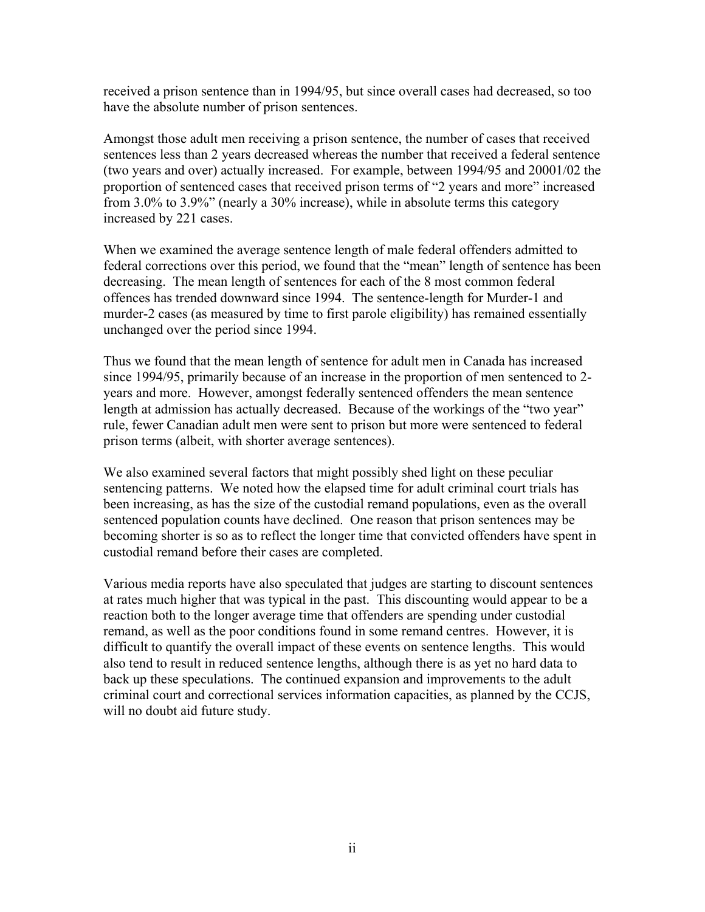received a prison sentence than in 1994/95, but since overall cases had decreased, so too have the absolute number of prison sentences.

Amongst those adult men receiving a prison sentence, the number of cases that received sentences less than 2 years decreased whereas the number that received a federal sentence (two years and over) actually increased. For example, between 1994/95 and 20001/02 the proportion of sentenced cases that received prison terms of "2 years and more" increased from 3.0% to 3.9%" (nearly a 30% increase), while in absolute terms this category increased by 221 cases.

When we examined the average sentence length of male federal offenders admitted to federal corrections over this period, we found that the "mean" length of sentence has been decreasing. The mean length of sentences for each of the 8 most common federal offences has trended downward since 1994. The sentence-length for Murder-1 and murder-2 cases (as measured by time to first parole eligibility) has remained essentially unchanged over the period since 1994.

Thus we found that the mean length of sentence for adult men in Canada has increased since 1994/95, primarily because of an increase in the proportion of men sentenced to 2 years and more. However, amongst federally sentenced offenders the mean sentence length at admission has actually decreased. Because of the workings of the "two year" rule, fewer Canadian adult men were sent to prison but more were sentenced to federal prison terms (albeit, with shorter average sentences).

We also examined several factors that might possibly shed light on these peculiar sentencing patterns. We noted how the elapsed time for adult criminal court trials has been increasing, as has the size of the custodial remand populations, even as the overall sentenced population counts have declined. One reason that prison sentences may be becoming shorter is so as to reflect the longer time that convicted offenders have spent in custodial remand before their cases are completed.

Various media reports have also speculated that judges are starting to discount sentences at rates much higher that was typical in the past. This discounting would appear to be a reaction both to the longer average time that offenders are spending under custodial remand, as well as the poor conditions found in some remand centres. However, it is difficult to quantify the overall impact of these events on sentence lengths. This would also tend to result in reduced sentence lengths, although there is as yet no hard data to back up these speculations. The continued expansion and improvements to the adult criminal court and correctional services information capacities, as planned by the CCJS, will no doubt aid future study.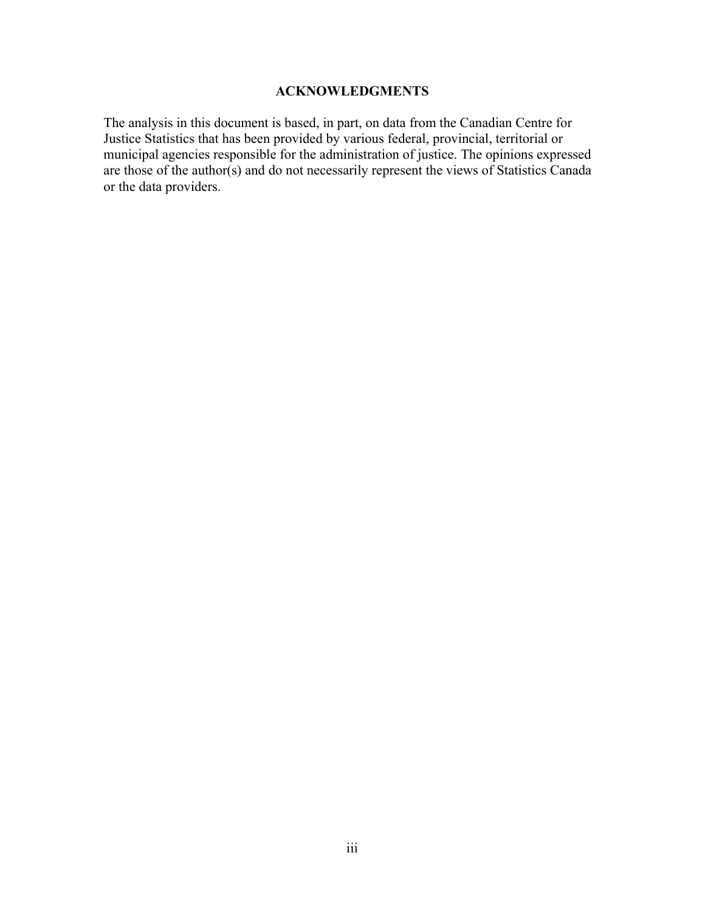# **ACKNOWLEDGMENTS**

The analysis in this document is based, in part, on data from the Canadian Centre for Justice Statistics that has been provided by various federal, provincial, territorial or municipal agencies responsible for the administration of justice. The opinions expressed are those of the author(s) and do not necessarily represent the views of Statistics Canada or the data providers.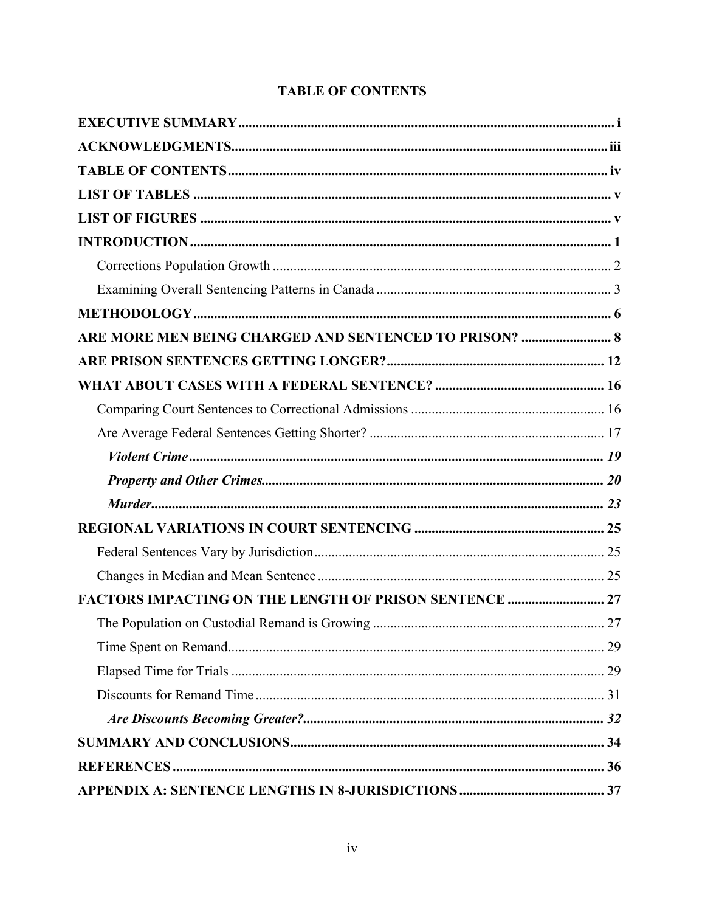# **TABLE OF CONTENTS**

| ARE MORE MEN BEING CHARGED AND SENTENCED TO PRISON?  8        |  |
|---------------------------------------------------------------|--|
|                                                               |  |
|                                                               |  |
|                                                               |  |
|                                                               |  |
|                                                               |  |
|                                                               |  |
|                                                               |  |
|                                                               |  |
|                                                               |  |
|                                                               |  |
| <b>FACTORS IMPACTING ON THE LENGTH OF PRISON SENTENCE  27</b> |  |
|                                                               |  |
|                                                               |  |
|                                                               |  |
|                                                               |  |
|                                                               |  |
|                                                               |  |
|                                                               |  |
|                                                               |  |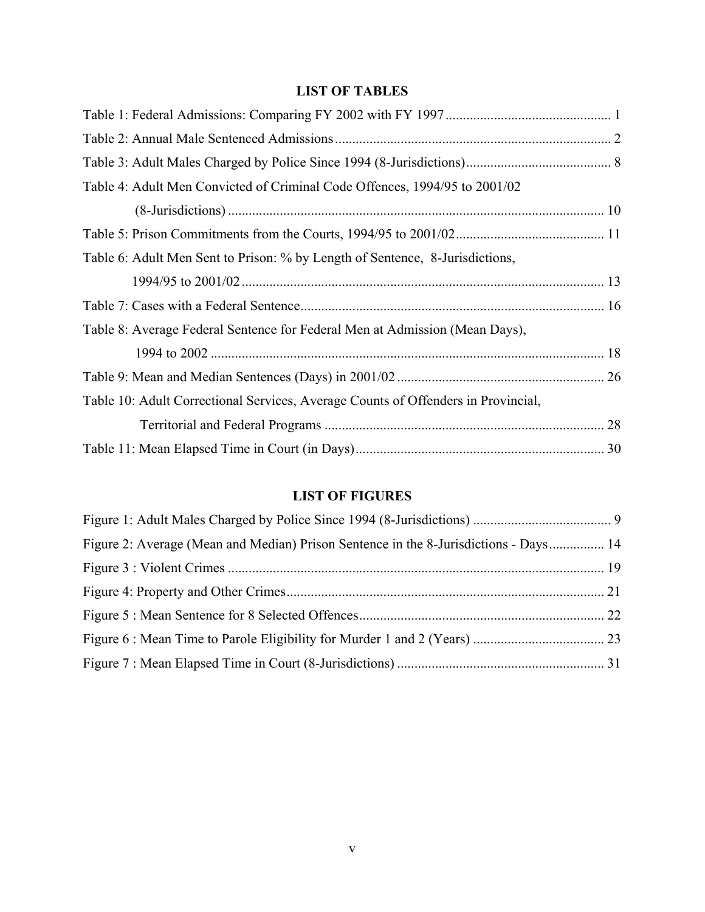# **LIST OF TABLES**

| Table 4: Adult Men Convicted of Criminal Code Offences, 1994/95 to 2001/02        |  |
|-----------------------------------------------------------------------------------|--|
|                                                                                   |  |
|                                                                                   |  |
| Table 6: Adult Men Sent to Prison: % by Length of Sentence, 8-Jurisdictions,      |  |
|                                                                                   |  |
|                                                                                   |  |
| Table 8: Average Federal Sentence for Federal Men at Admission (Mean Days),       |  |
|                                                                                   |  |
|                                                                                   |  |
| Table 10: Adult Correctional Services, Average Counts of Offenders in Provincial, |  |
|                                                                                   |  |
|                                                                                   |  |

# **LIST OF FIGURES**

| Figure 2: Average (Mean and Median) Prison Sentence in the 8-Jurisdictions - Days 14 |  |
|--------------------------------------------------------------------------------------|--|
|                                                                                      |  |
|                                                                                      |  |
|                                                                                      |  |
|                                                                                      |  |
|                                                                                      |  |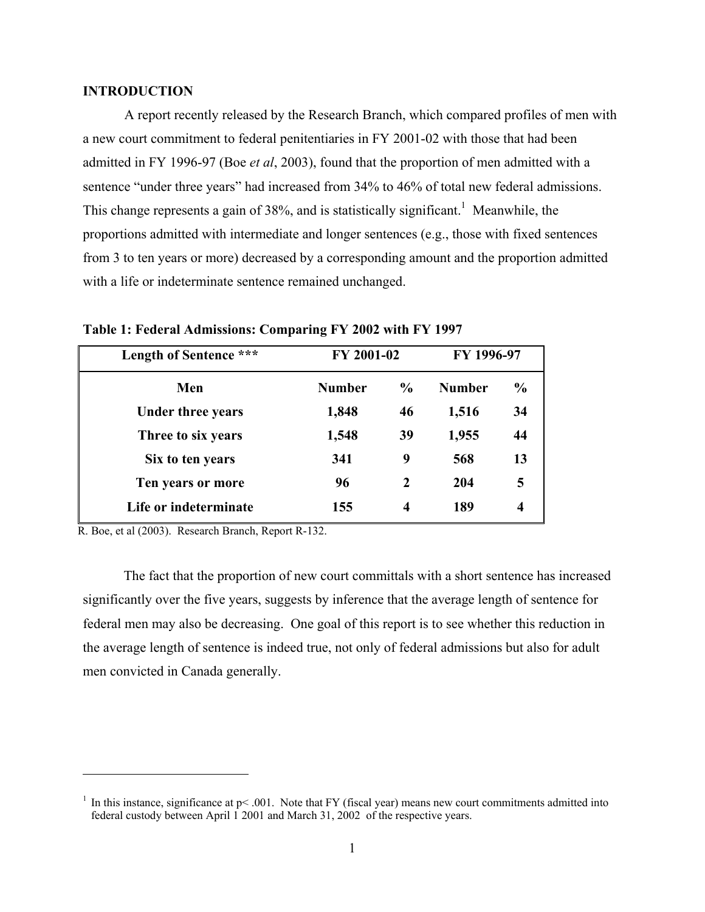## **INTRODUCTION**

A report recently released by the Research Branch, which compared profiles of men with a new court commitment to federal penitentiaries in FY 2001-02 with those that had been admitted in FY 1996-97 (Boe *et al*, 2003), found that the proportion of men admitted with a sentence "under three years" had increased from 34% to 46% of total new federal admissions. This change represents a gain of 38%, and is statistically significant.<sup>1</sup> Meanwhile, the proportions admitted with intermediate and longer sentences (e.g., those with fixed sentences from 3 to ten years or more) decreased by a corresponding amount and the proportion admitted with a life or indeterminate sentence remained unchanged.

| Length of Sentence ***   | FY 2001-02    |               | FY 1996-97    |               |
|--------------------------|---------------|---------------|---------------|---------------|
| Men                      | <b>Number</b> | $\frac{6}{9}$ | <b>Number</b> | $\frac{6}{9}$ |
| <b>Under three years</b> | 1,848         | 46            | 1,516         | 34            |
| Three to six years       | 1,548         | 39            | 1,955         | 44            |
| Six to ten years         | 341           | 9             | 568           | 13            |
| Ten years or more        | 96            | $\mathbf{2}$  | 204           | 5             |
| Life or indeterminate    | 155           | 4             | 189           | 4             |

**Table 1: Federal Admissions: Comparing FY 2002 with FY 1997** 

R. Boe, et al (2003). Research Branch, Report R-132.

 $\overline{a}$ 

The fact that the proportion of new court committals with a short sentence has increased significantly over the five years, suggests by inference that the average length of sentence for federal men may also be decreasing. One goal of this report is to see whether this reduction in the average length of sentence is indeed true, not only of federal admissions but also for adult men convicted in Canada generally.

<sup>&</sup>lt;sup>1</sup> In this instance, significance at  $p$ < .001. Note that FY (fiscal year) means new court commitments admitted into federal custody between April 1 2001 and March 31, 2002 of the respective years.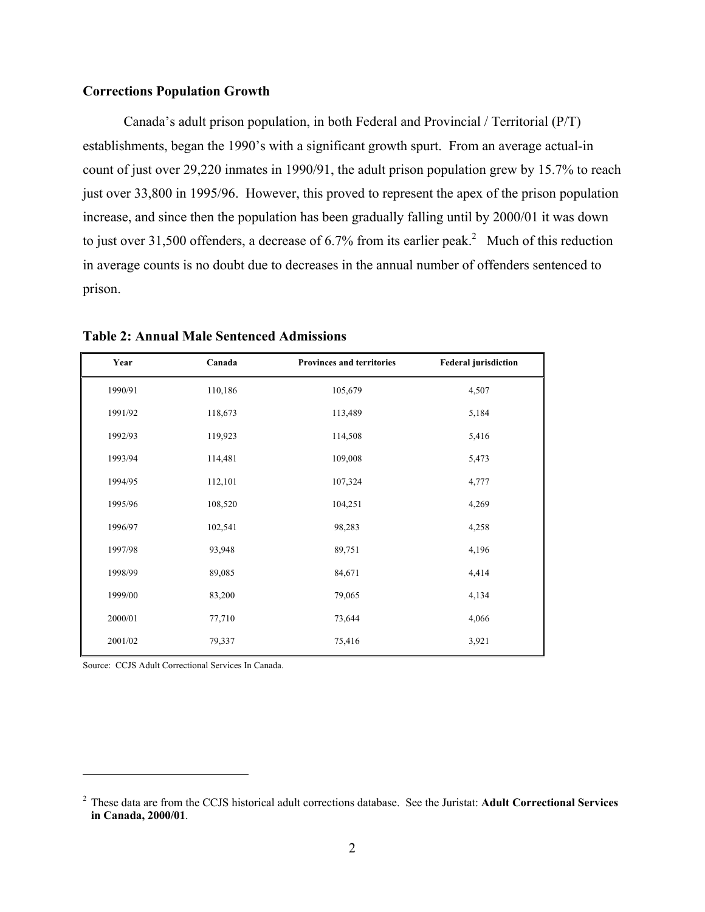## **Corrections Population Growth**

Canada's adult prison population, in both Federal and Provincial / Territorial (P/T) establishments, began the 1990's with a significant growth spurt. From an average actual-in count of just over 29,220 inmates in 1990/91, the adult prison population grew by 15.7% to reach just over 33,800 in 1995/96. However, this proved to represent the apex of the prison population increase, and since then the population has been gradually falling until by 2000/01 it was down to just over 31,500 offenders, a decrease of 6.7% from its earlier peak.<sup>2</sup> Much of this reduction in average counts is no doubt due to decreases in the annual number of offenders sentenced to prison.

| Year    | Canada  | Provinces and territories | <b>Federal jurisdiction</b> |
|---------|---------|---------------------------|-----------------------------|
| 1990/91 | 110,186 | 105,679                   | 4,507                       |
| 1991/92 | 118,673 | 113,489                   | 5,184                       |
| 1992/93 | 119,923 | 114,508                   | 5,416                       |
| 1993/94 | 114,481 | 109,008                   | 5,473                       |
| 1994/95 | 112,101 | 107,324                   | 4,777                       |
| 1995/96 | 108,520 | 104,251                   | 4,269                       |
| 1996/97 | 102,541 | 98,283                    | 4,258                       |
| 1997/98 | 93,948  | 89,751                    | 4,196                       |
| 1998/99 | 89,085  | 84,671                    | 4,414                       |
| 1999/00 | 83,200  | 79,065                    | 4,134                       |
| 2000/01 | 77,710  | 73,644                    | 4,066                       |
| 2001/02 | 79,337  | 75,416                    | 3,921                       |

**Table 2: Annual Male Sentenced Admissions** 

Source: CCJS Adult Correctional Services In Canada.

 $\overline{a}$ 

<sup>2</sup> These data are from the CCJS historical adult corrections database. See the Juristat: **Adult Correctional Services in Canada, 2000/01**.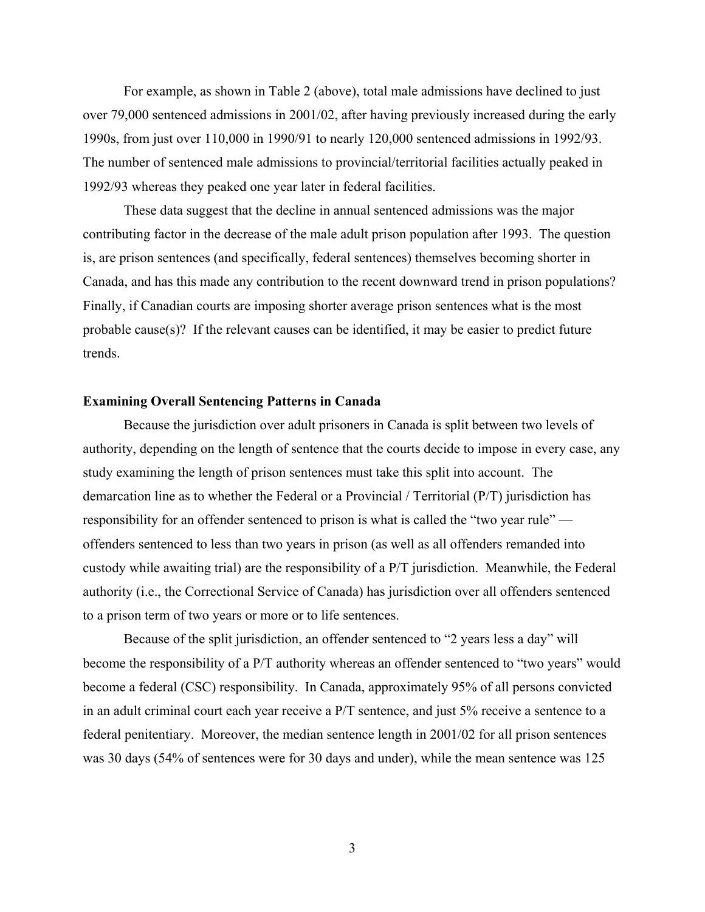For example, as shown in Table 2 (above), total male admissions have declined to just over 79,000 sentenced admissions in 2001/02, after having previously increased during the early 1990s, from just over 110,000 in 1990/91 to nearly 120,000 sentenced admissions in 1992/93. The number of sentenced male admissions to provincial/territorial facilities actually peaked in 1992/93 whereas they peaked one year later in federal facilities.

These data suggest that the decline in annual sentenced admissions was the major contributing factor in the decrease of the male adult prison population after 1993. The question is, are prison sentences (and specifically, federal sentences) themselves becoming shorter in Canada, and has this made any contribution to the recent downward trend in prison populations? Finally, if Canadian courts are imposing shorter average prison sentences what is the most probable cause(s)? If the relevant causes can be identified, it may be easier to predict future trends.

## **Examining Overall Sentencing Patterns in Canada**

Because the jurisdiction over adult prisoners in Canada is split between two levels of authority, depending on the length of sentence that the courts decide to impose in every case, any study examining the length of prison sentences must take this split into account. The demarcation line as to whether the Federal or a Provincial / Territorial (P/T) jurisdiction has responsibility for an offender sentenced to prison is what is called the "two year rule" offenders sentenced to less than two years in prison (as well as all offenders remanded into custody while awaiting trial) are the responsibility of a P/T jurisdiction. Meanwhile, the Federal authority (i.e., the Correctional Service of Canada) has jurisdiction over all offenders sentenced to a prison term of two years or more or to life sentences.

Because of the split jurisdiction, an offender sentenced to "2 years less a day" will become the responsibility of a P/T authority whereas an offender sentenced to "two years" would become a federal (CSC) responsibility. In Canada, approximately 95% of all persons convicted in an adult criminal court each year receive a P/T sentence, and just 5% receive a sentence to a federal penitentiary. Moreover, the median sentence length in 2001/02 for all prison sentences was 30 days (54% of sentences were for 30 days and under), while the mean sentence was 125

3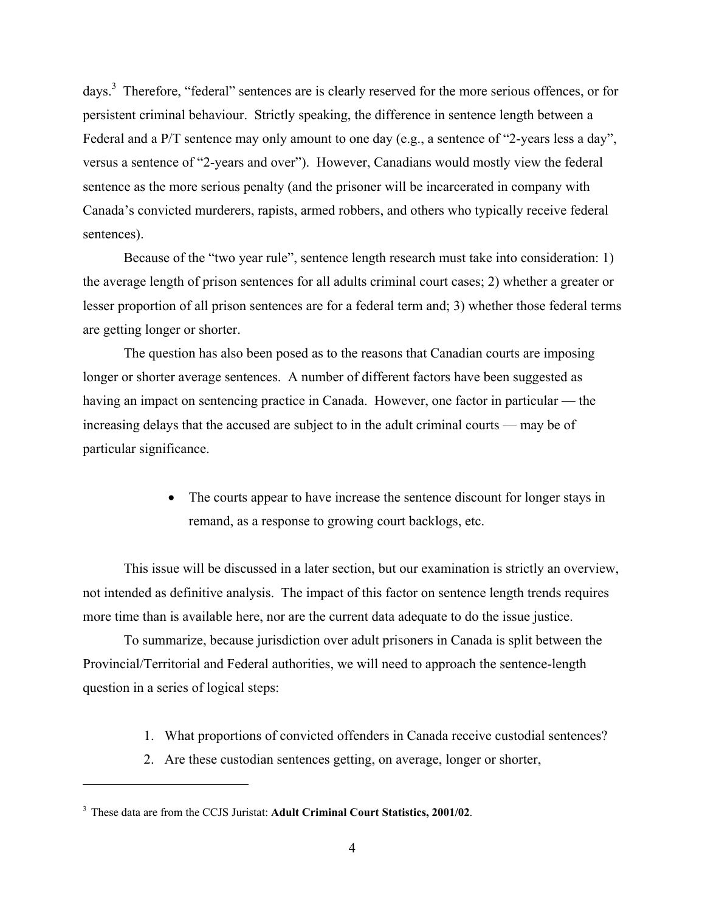days.<sup>3</sup> Therefore, "federal" sentences are is clearly reserved for the more serious offences, or for persistent criminal behaviour. Strictly speaking, the difference in sentence length between a Federal and a P/T sentence may only amount to one day (e.g., a sentence of "2-years less a day", versus a sentence of "2-years and over"). However, Canadians would mostly view the federal sentence as the more serious penalty (and the prisoner will be incarcerated in company with Canada's convicted murderers, rapists, armed robbers, and others who typically receive federal sentences).

Because of the "two year rule", sentence length research must take into consideration: 1) the average length of prison sentences for all adults criminal court cases; 2) whether a greater or lesser proportion of all prison sentences are for a federal term and; 3) whether those federal terms are getting longer or shorter.

The question has also been posed as to the reasons that Canadian courts are imposing longer or shorter average sentences. A number of different factors have been suggested as having an impact on sentencing practice in Canada. However, one factor in particular — the increasing delays that the accused are subject to in the adult criminal courts — may be of particular significance.

> • The courts appear to have increase the sentence discount for longer stays in remand, as a response to growing court backlogs, etc.

This issue will be discussed in a later section, but our examination is strictly an overview, not intended as definitive analysis. The impact of this factor on sentence length trends requires more time than is available here, nor are the current data adequate to do the issue justice.

To summarize, because jurisdiction over adult prisoners in Canada is split between the Provincial/Territorial and Federal authorities, we will need to approach the sentence-length question in a series of logical steps:

- 1. What proportions of convicted offenders in Canada receive custodial sentences?
- 2. Are these custodian sentences getting, on average, longer or shorter,

 $\overline{a}$ 

<sup>3</sup> These data are from the CCJS Juristat: **Adult Criminal Court Statistics, 2001/02**.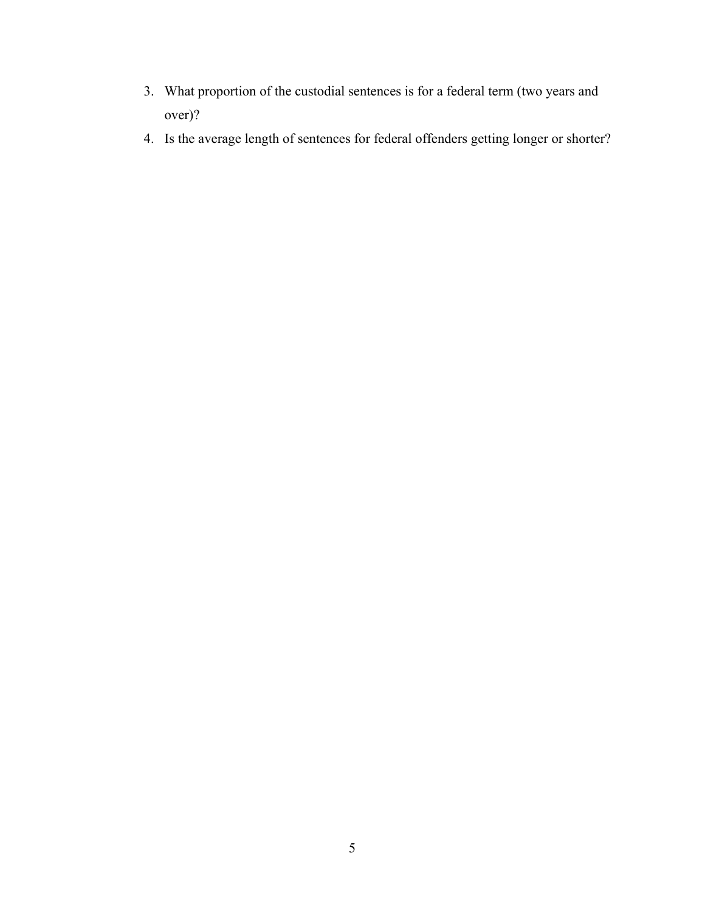- 3. What proportion of the custodial sentences is for a federal term (two years and over)?
- 4. Is the average length of sentences for federal offenders getting longer or shorter?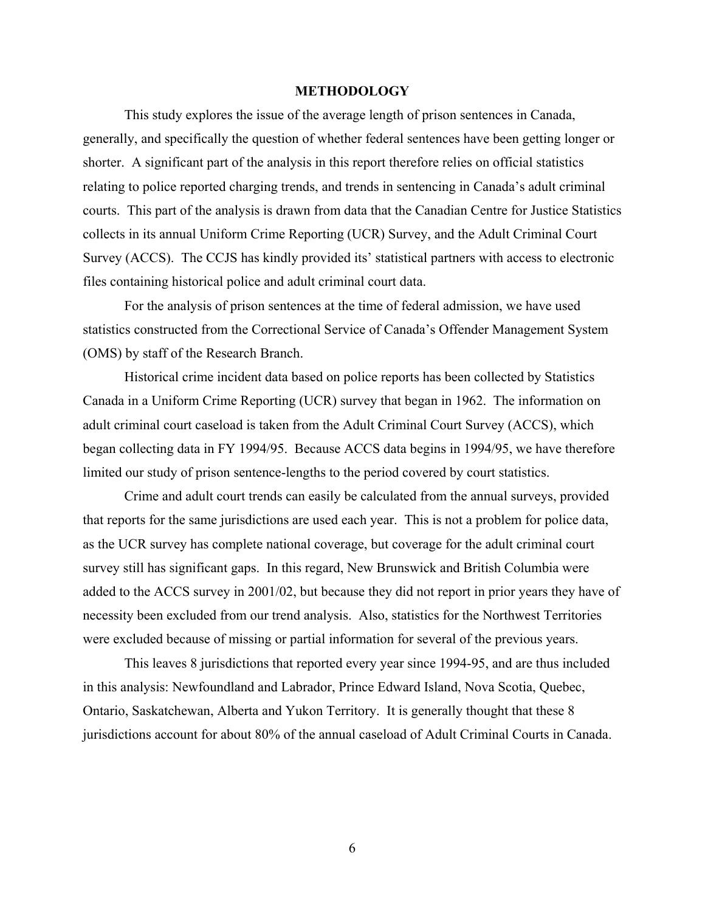### **METHODOLOGY**

This study explores the issue of the average length of prison sentences in Canada, generally, and specifically the question of whether federal sentences have been getting longer or shorter. A significant part of the analysis in this report therefore relies on official statistics relating to police reported charging trends, and trends in sentencing in Canada's adult criminal courts. This part of the analysis is drawn from data that the Canadian Centre for Justice Statistics collects in its annual Uniform Crime Reporting (UCR) Survey, and the Adult Criminal Court Survey (ACCS). The CCJS has kindly provided its' statistical partners with access to electronic files containing historical police and adult criminal court data.

For the analysis of prison sentences at the time of federal admission, we have used statistics constructed from the Correctional Service of Canada's Offender Management System (OMS) by staff of the Research Branch.

Historical crime incident data based on police reports has been collected by Statistics Canada in a Uniform Crime Reporting (UCR) survey that began in 1962. The information on adult criminal court caseload is taken from the Adult Criminal Court Survey (ACCS), which began collecting data in FY 1994/95. Because ACCS data begins in 1994/95, we have therefore limited our study of prison sentence-lengths to the period covered by court statistics.

Crime and adult court trends can easily be calculated from the annual surveys, provided that reports for the same jurisdictions are used each year. This is not a problem for police data, as the UCR survey has complete national coverage, but coverage for the adult criminal court survey still has significant gaps. In this regard, New Brunswick and British Columbia were added to the ACCS survey in 2001/02, but because they did not report in prior years they have of necessity been excluded from our trend analysis. Also, statistics for the Northwest Territories were excluded because of missing or partial information for several of the previous years.

This leaves 8 jurisdictions that reported every year since 1994-95, and are thus included in this analysis: Newfoundland and Labrador, Prince Edward Island, Nova Scotia, Quebec, Ontario, Saskatchewan, Alberta and Yukon Territory. It is generally thought that these 8 jurisdictions account for about 80% of the annual caseload of Adult Criminal Courts in Canada.

6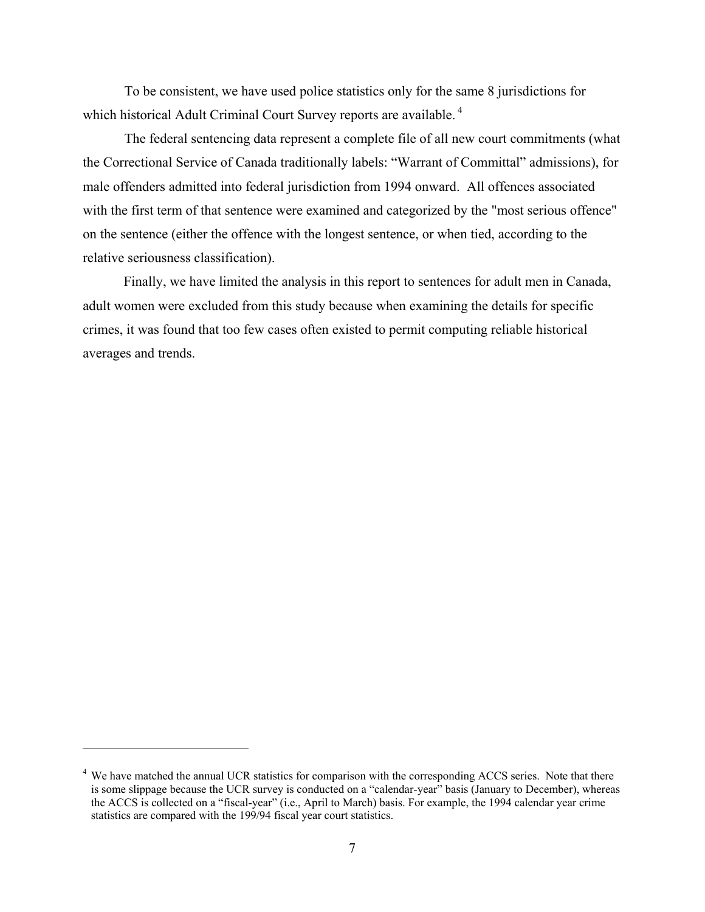To be consistent, we have used police statistics only for the same 8 jurisdictions for which historical Adult Criminal Court Survey reports are available.<sup>4</sup>

The federal sentencing data represent a complete file of all new court commitments (what the Correctional Service of Canada traditionally labels: "Warrant of Committal" admissions), for male offenders admitted into federal jurisdiction from 1994 onward. All offences associated with the first term of that sentence were examined and categorized by the "most serious offence" on the sentence (either the offence with the longest sentence, or when tied, according to the relative seriousness classification).

Finally, we have limited the analysis in this report to sentences for adult men in Canada, adult women were excluded from this study because when examining the details for specific crimes, it was found that too few cases often existed to permit computing reliable historical averages and trends.

 $\overline{a}$ 

<sup>&</sup>lt;sup>4</sup> We have matched the annual UCR statistics for comparison with the corresponding ACCS series. Note that there is some slippage because the UCR survey is conducted on a "calendar-year" basis (January to December), whereas the ACCS is collected on a "fiscal-year" (i.e., April to March) basis. For example, the 1994 calendar year crime statistics are compared with the 199/94 fiscal year court statistics.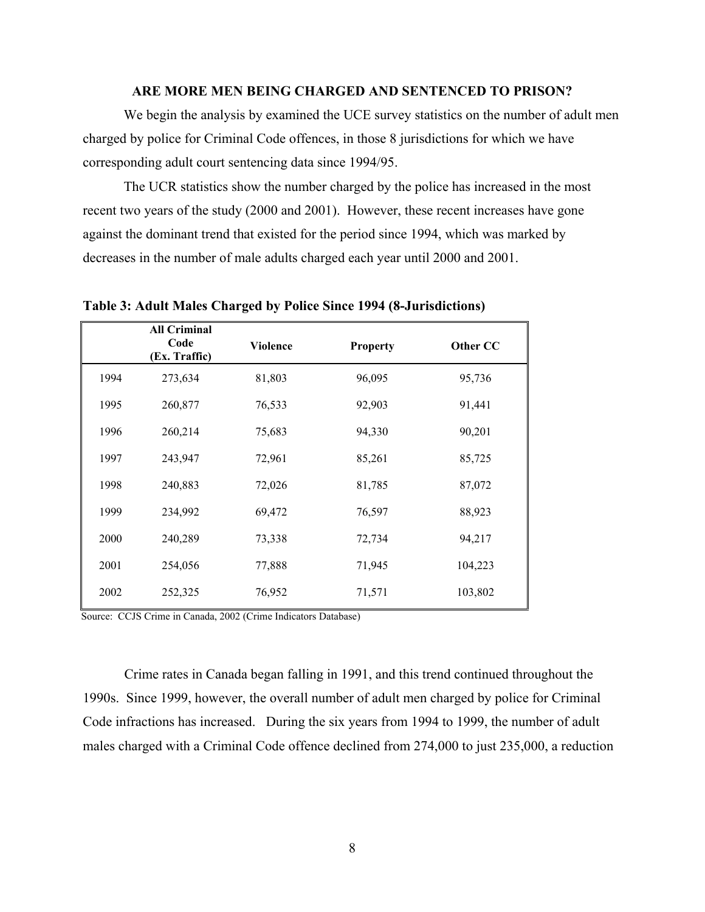## **ARE MORE MEN BEING CHARGED AND SENTENCED TO PRISON?**

We begin the analysis by examined the UCE survey statistics on the number of adult men charged by police for Criminal Code offences, in those 8 jurisdictions for which we have corresponding adult court sentencing data since 1994/95.

The UCR statistics show the number charged by the police has increased in the most recent two years of the study (2000 and 2001). However, these recent increases have gone against the dominant trend that existed for the period since 1994, which was marked by decreases in the number of male adults charged each year until 2000 and 2001.

**All Criminal Code (Ex. Traffic) Violence Property Other CC**  1994 273,634 81,803 96,095 95,736 1995 260,877 76,533 92,903 91,441 1996 260,214 75,683 94,330 90,201 1997 243,947 72,961 85,261 85,725 1998 240,883 72,026 81,785 87,072 1999 234,992 69,472 76,597 88,923 2000 240,289 73,338 72,734 94,217 2001 254,056 77,888 71,945 104,223 2002 252,325 76,952 71,571 103,802

**Table 3: Adult Males Charged by Police Since 1994 (8-Jurisdictions)** 

Source: CCJS Crime in Canada, 2002 (Crime Indicators Database)

Crime rates in Canada began falling in 1991, and this trend continued throughout the 1990s. Since 1999, however, the overall number of adult men charged by police for Criminal Code infractions has increased. During the six years from 1994 to 1999, the number of adult males charged with a Criminal Code offence declined from 274,000 to just 235,000, a reduction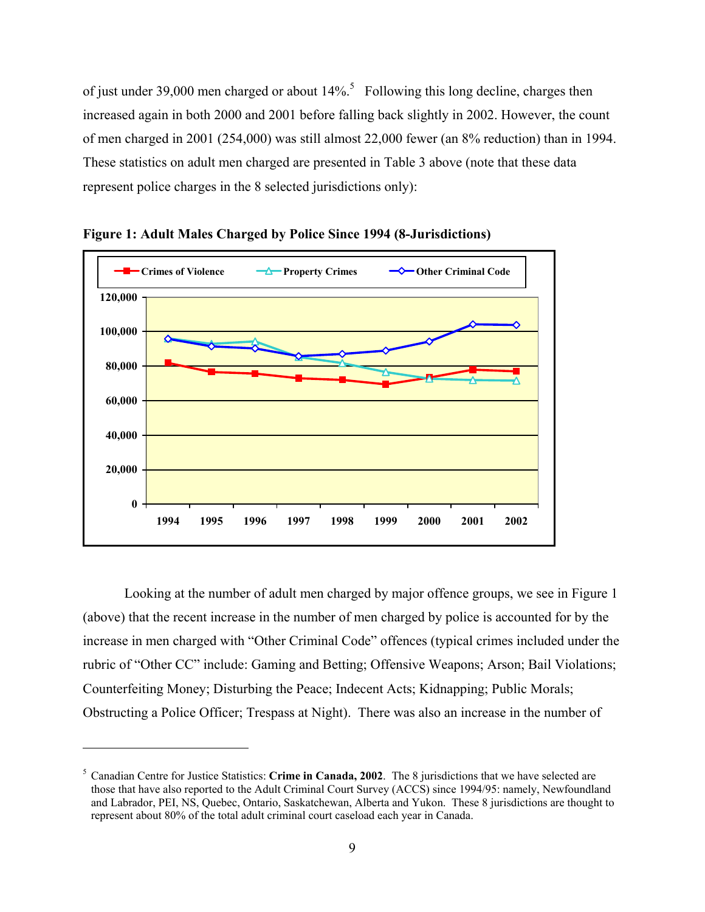of just under 39,000 men charged or about  $14\%$ <sup>5</sup> Following this long decline, charges then increased again in both 2000 and 2001 before falling back slightly in 2002. However, the count of men charged in 2001 (254,000) was still almost 22,000 fewer (an 8% reduction) than in 1994. These statistics on adult men charged are presented in Table 3 above (note that these data represent police charges in the 8 selected jurisdictions only):



**Figure 1: Adult Males Charged by Police Since 1994 (8-Jurisdictions)** 

Looking at the number of adult men charged by major offence groups, we see in Figure 1 (above) that the recent increase in the number of men charged by police is accounted for by the increase in men charged with "Other Criminal Code" offences (typical crimes included under the rubric of "Other CC" include: Gaming and Betting; Offensive Weapons; Arson; Bail Violations; Counterfeiting Money; Disturbing the Peace; Indecent Acts; Kidnapping; Public Morals; Obstructing a Police Officer; Trespass at Night). There was also an increase in the number of

1

<sup>5</sup> Canadian Centre for Justice Statistics: **Crime in Canada, 2002**. The 8 jurisdictions that we have selected are those that have also reported to the Adult Criminal Court Survey (ACCS) since 1994/95: namely, Newfoundland and Labrador, PEI, NS, Quebec, Ontario, Saskatchewan, Alberta and Yukon. These 8 jurisdictions are thought to represent about 80% of the total adult criminal court caseload each year in Canada.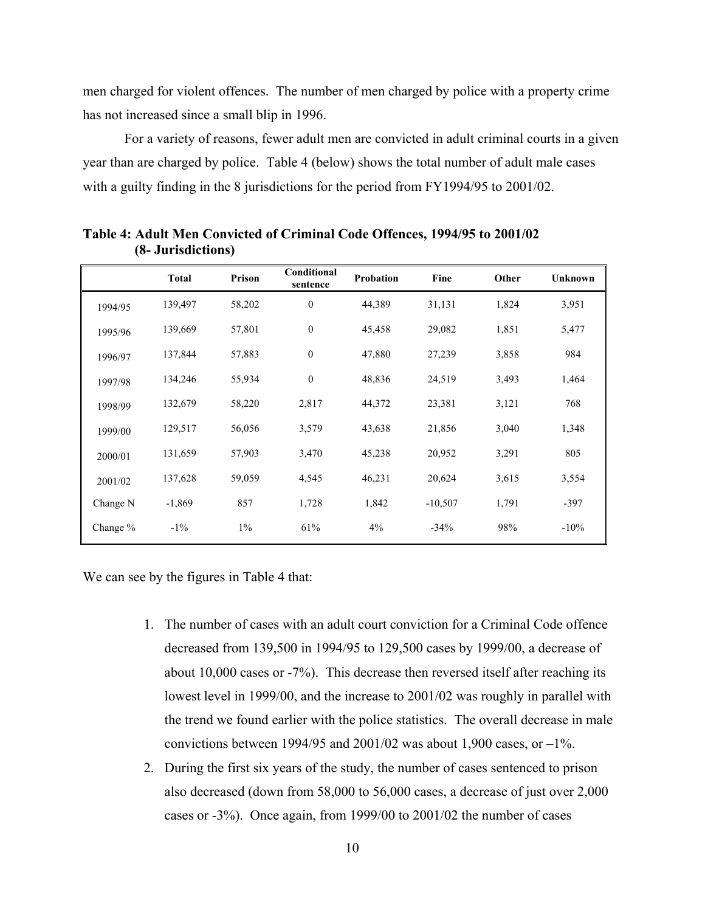men charged for violent offences. The number of men charged by police with a property crime has not increased since a small blip in 1996.

For a variety of reasons, fewer adult men are convicted in adult criminal courts in a given year than are charged by police. Table 4 (below) shows the total number of adult male cases with a guilty finding in the 8 jurisdictions for the period from FY1994/95 to 2001/02.

|            | <b>Total</b> | Prison | Conditional<br>sentence | Probation | Fine      | Other | <b>Unknown</b> |
|------------|--------------|--------|-------------------------|-----------|-----------|-------|----------------|
| 1994/95    | 139,497      | 58,202 | $\boldsymbol{0}$        | 44,389    | 31,131    | 1,824 | 3,951          |
| 1995/96    | 139,669      | 57,801 | $\boldsymbol{0}$        | 45,458    | 29,082    | 1,851 | 5,477          |
| 1996/97    | 137,844      | 57,883 | $\mathbf{0}$            | 47,880    | 27,239    | 3,858 | 984            |
| 1997/98    | 134,246      | 55,934 | $\boldsymbol{0}$        | 48,836    | 24,519    | 3,493 | 1,464          |
| 1998/99    | 132,679      | 58,220 | 2,817                   | 44,372    | 23,381    | 3,121 | 768            |
| 1999/00    | 129,517      | 56,056 | 3,579                   | 43,638    | 21,856    | 3,040 | 1,348          |
| 2000/01    | 131,659      | 57,903 | 3,470                   | 45,238    | 20,952    | 3,291 | 805            |
| 2001/02    | 137,628      | 59,059 | 4,545                   | 46,231    | 20,624    | 3,615 | 3,554          |
| Change N   | $-1,869$     | 857    | 1,728                   | 1,842     | $-10,507$ | 1,791 | $-397$         |
| Change $%$ | $-1\%$       | $1\%$  | 61%                     | 4%        | $-34%$    | 98%   | $-10%$         |

**Table 4: Adult Men Convicted of Criminal Code Offences, 1994/95 to 2001/02 (8- Jurisdictions)** 

We can see by the figures in Table 4 that:

- 1. The number of cases with an adult court conviction for a Criminal Code offence decreased from 139,500 in 1994/95 to 129,500 cases by 1999/00, a decrease of about 10,000 cases or -7%). This decrease then reversed itself after reaching its lowest level in 1999/00, and the increase to 2001/02 was roughly in parallel with the trend we found earlier with the police statistics. The overall decrease in male convictions between 1994/95 and 2001/02 was about 1,900 cases, or  $-1\%$ .
- 2. During the first six years of the study, the number of cases sentenced to prison also decreased (down from 58,000 to 56,000 cases, a decrease of just over 2,000 cases or -3%). Once again, from 1999/00 to 2001/02 the number of cases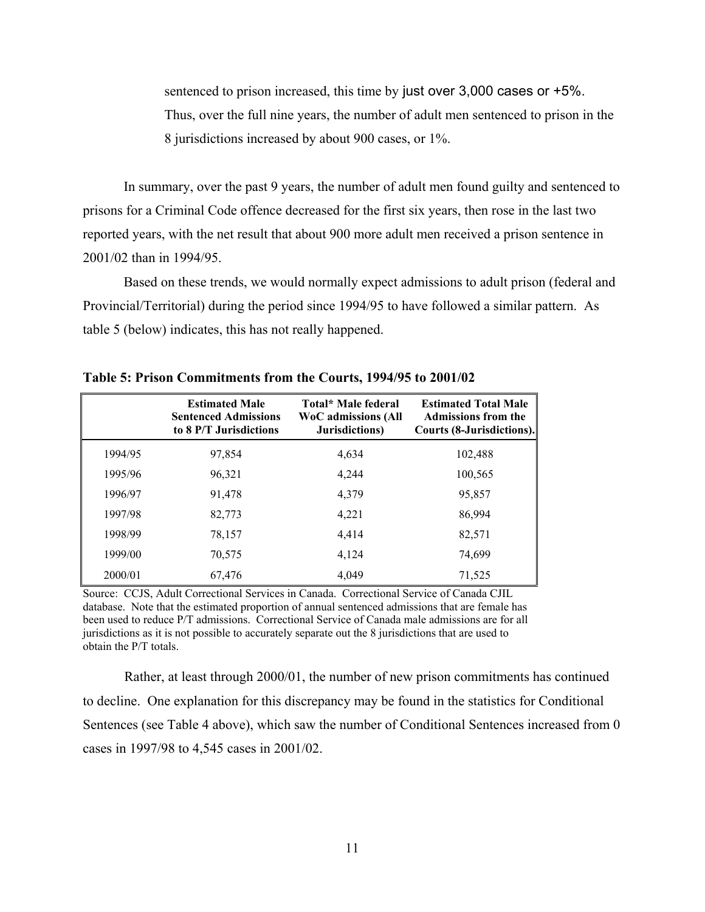sentenced to prison increased, this time by just over 3,000 cases or +5%. Thus, over the full nine years, the number of adult men sentenced to prison in the 8 jurisdictions increased by about 900 cases, or 1%.

In summary, over the past 9 years, the number of adult men found guilty and sentenced to prisons for a Criminal Code offence decreased for the first six years, then rose in the last two reported years, with the net result that about 900 more adult men received a prison sentence in 2001/02 than in 1994/95.

Based on these trends, we would normally expect admissions to adult prison (federal and Provincial/Territorial) during the period since 1994/95 to have followed a similar pattern. As table 5 (below) indicates, this has not really happened.

|         | <b>Estimated Male</b><br><b>Sentenced Admissions</b><br>to 8 P/T Jurisdictions | Total* Male federal<br><b>WoC</b> admissions (All<br>Jurisdictions) | <b>Estimated Total Male</b><br><b>Admissions from the</b><br>Courts (8-Jurisdictions). |
|---------|--------------------------------------------------------------------------------|---------------------------------------------------------------------|----------------------------------------------------------------------------------------|
| 1994/95 | 97,854                                                                         | 4,634                                                               | 102,488                                                                                |
| 1995/96 | 96,321                                                                         | 4,244                                                               | 100,565                                                                                |
| 1996/97 | 91,478                                                                         | 4,379                                                               | 95,857                                                                                 |
| 1997/98 | 82,773                                                                         | 4,221                                                               | 86,994                                                                                 |
| 1998/99 | 78,157                                                                         | 4.414                                                               | 82,571                                                                                 |
| 1999/00 | 70,575                                                                         | 4,124                                                               | 74,699                                                                                 |
| 2000/01 | 67,476                                                                         | 4,049                                                               | 71,525                                                                                 |

**Table 5: Prison Commitments from the Courts, 1994/95 to 2001/02** 

Source: CCJS, Adult Correctional Services in Canada. Correctional Service of Canada CJIL database. Note that the estimated proportion of annual sentenced admissions that are female has been used to reduce P/T admissions. Correctional Service of Canada male admissions are for all jurisdictions as it is not possible to accurately separate out the 8 jurisdictions that are used to obtain the P/T totals.

Rather, at least through 2000/01, the number of new prison commitments has continued to decline. One explanation for this discrepancy may be found in the statistics for Conditional Sentences (see Table 4 above), which saw the number of Conditional Sentences increased from 0 cases in 1997/98 to 4,545 cases in 2001/02.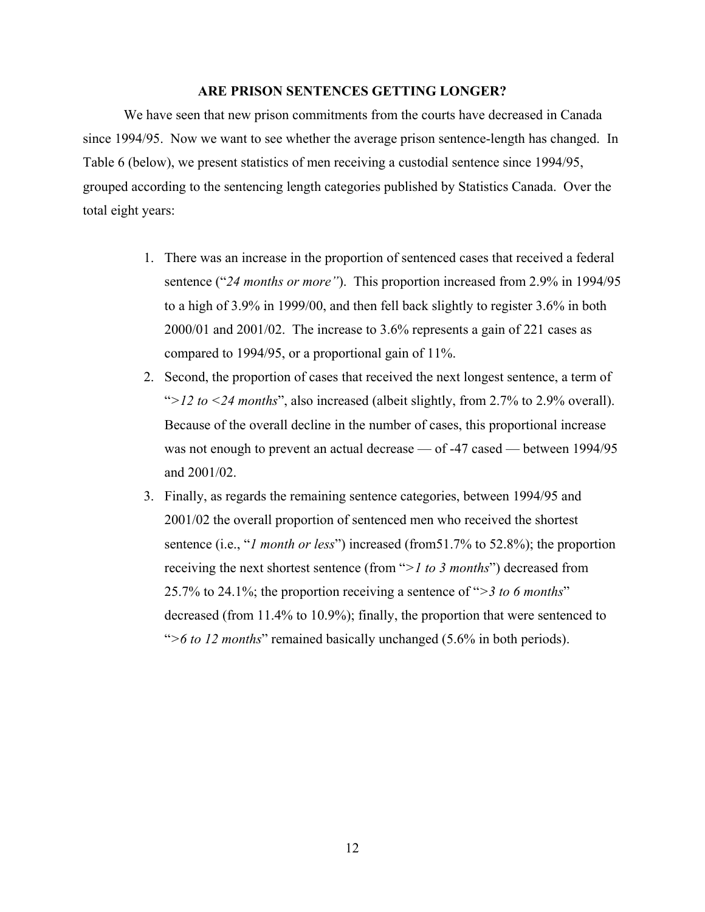### **ARE PRISON SENTENCES GETTING LONGER?**

We have seen that new prison commitments from the courts have decreased in Canada since 1994/95. Now we want to see whether the average prison sentence-length has changed. In Table 6 (below), we present statistics of men receiving a custodial sentence since 1994/95, grouped according to the sentencing length categories published by Statistics Canada. Over the total eight years:

- 1. There was an increase in the proportion of sentenced cases that received a federal sentence ("*24 months or more"*). This proportion increased from 2.9% in 1994/95 to a high of 3.9% in 1999/00, and then fell back slightly to register 3.6% in both 2000/01 and 2001/02. The increase to 3.6% represents a gain of 221 cases as compared to 1994/95, or a proportional gain of 11%.
- 2. Second, the proportion of cases that received the next longest sentence, a term of "*>12 to <24 months*", also increased (albeit slightly, from 2.7% to 2.9% overall). Because of the overall decline in the number of cases, this proportional increase was not enough to prevent an actual decrease — of -47 cased — between 1994/95 and 2001/02.
- 3. Finally, as regards the remaining sentence categories, between 1994/95 and 2001/02 the overall proportion of sentenced men who received the shortest sentence (i.e., "*1 month or less*") increased (from51.7% to 52.8%); the proportion receiving the next shortest sentence (from "*>1 to 3 months*") decreased from 25.7% to 24.1%; the proportion receiving a sentence of "*>3 to 6 months*" decreased (from 11.4% to 10.9%); finally, the proportion that were sentenced to "*>6 to 12 months*" remained basically unchanged (5.6% in both periods).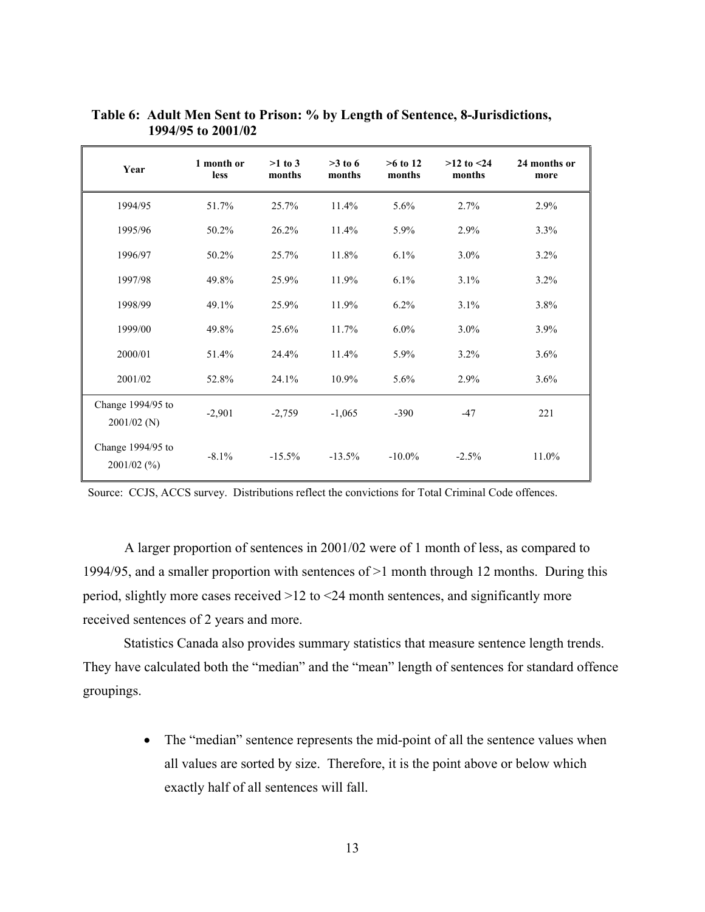| Year                               | 1 month or<br>less | $>1$ to 3<br>months | $>3$ to 6<br>months | $>6$ to 12<br>months | $>12$ to $<24$<br>months | 24 months or<br>more |
|------------------------------------|--------------------|---------------------|---------------------|----------------------|--------------------------|----------------------|
| 1994/95                            | 51.7%              | 25.7%               | 11.4%               | 5.6%                 | 2.7%                     | 2.9%                 |
| 1995/96                            | 50.2%              | 26.2%               | 11.4%               | 5.9%                 | 2.9%                     | 3.3%                 |
| 1996/97                            | 50.2%              | 25.7%               | 11.8%               | 6.1%                 | $3.0\%$                  | 3.2%                 |
| 1997/98                            | 49.8%              | 25.9%               | 11.9%               | 6.1%                 | 3.1%                     | $3.2\%$              |
| 1998/99                            | 49.1%              | 25.9%               | 11.9%               | $6.2\%$              | 3.1%                     | 3.8%                 |
| 1999/00                            | 49.8%              | 25.6%               | 11.7%               | $6.0\%$              | $3.0\%$                  | 3.9%                 |
| 2000/01                            | 51.4%              | 24.4%               | 11.4%               | 5.9%                 | 3.2%                     | 3.6%                 |
| 2001/02                            | 52.8%              | 24.1%               | 10.9%               | 5.6%                 | 2.9%                     | 3.6%                 |
| Change 1994/95 to<br>$2001/02$ (N) | $-2,901$           | $-2,759$            | $-1,065$            | $-390$               | $-47$                    | 221                  |
| Change 1994/95 to<br>$2001/02$ (%) | $-8.1\%$           | $-15.5%$            | $-13.5%$            | $-10.0\%$            | $-2.5%$                  | 11.0%                |

 **Table 6: Adult Men Sent to Prison: % by Length of Sentence, 8-Jurisdictions, 1994/95 to 2001/02** 

Source: CCJS, ACCS survey. Distributions reflect the convictions for Total Criminal Code offences.

A larger proportion of sentences in 2001/02 were of 1 month of less, as compared to 1994/95, and a smaller proportion with sentences of >1 month through 12 months. During this period, slightly more cases received >12 to <24 month sentences, and significantly more received sentences of 2 years and more.

Statistics Canada also provides summary statistics that measure sentence length trends. They have calculated both the "median" and the "mean" length of sentences for standard offence groupings.

> • The "median" sentence represents the mid-point of all the sentence values when all values are sorted by size. Therefore, it is the point above or below which exactly half of all sentences will fall.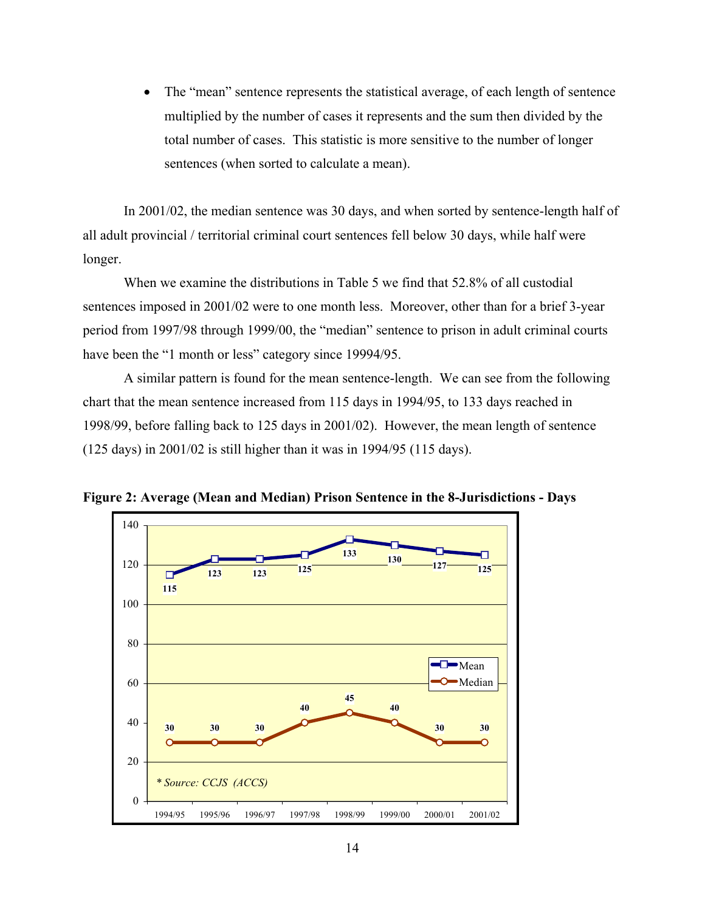• The "mean" sentence represents the statistical average, of each length of sentence multiplied by the number of cases it represents and the sum then divided by the total number of cases. This statistic is more sensitive to the number of longer sentences (when sorted to calculate a mean).

In 2001/02, the median sentence was 30 days, and when sorted by sentence-length half of all adult provincial / territorial criminal court sentences fell below 30 days, while half were longer.

When we examine the distributions in Table 5 we find that 52.8% of all custodial sentences imposed in 2001/02 were to one month less. Moreover, other than for a brief 3-year period from 1997/98 through 1999/00, the "median" sentence to prison in adult criminal courts have been the "1 month or less" category since 19994/95.

A similar pattern is found for the mean sentence-length. We can see from the following chart that the mean sentence increased from 115 days in 1994/95, to 133 days reached in 1998/99, before falling back to 125 days in 2001/02). However, the mean length of sentence (125 days) in 2001/02 is still higher than it was in 1994/95 (115 days).



**Figure 2: Average (Mean and Median) Prison Sentence in the 8-Jurisdictions - Days**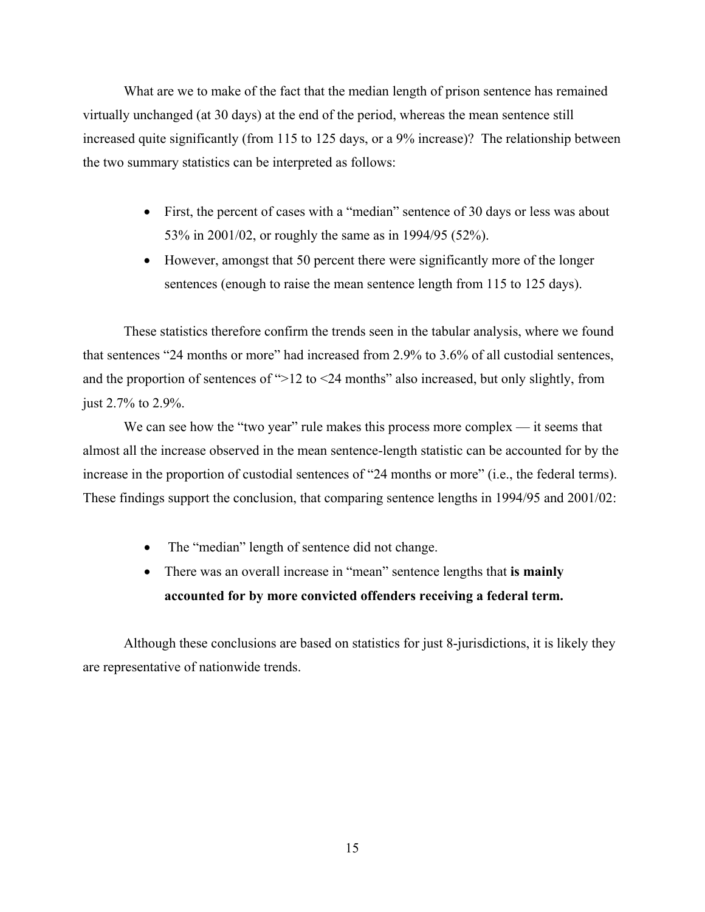What are we to make of the fact that the median length of prison sentence has remained virtually unchanged (at 30 days) at the end of the period, whereas the mean sentence still increased quite significantly (from 115 to 125 days, or a 9% increase)? The relationship between the two summary statistics can be interpreted as follows:

- First, the percent of cases with a "median" sentence of 30 days or less was about 53% in 2001/02, or roughly the same as in 1994/95 (52%).
- However, amongst that 50 percent there were significantly more of the longer sentences (enough to raise the mean sentence length from 115 to 125 days).

These statistics therefore confirm the trends seen in the tabular analysis, where we found that sentences "24 months or more" had increased from 2.9% to 3.6% of all custodial sentences, and the proportion of sentences of ">12 to <24 months" also increased, but only slightly, from just 2.7% to 2.9%.

We can see how the "two year" rule makes this process more complex — it seems that almost all the increase observed in the mean sentence-length statistic can be accounted for by the increase in the proportion of custodial sentences of "24 months or more" (i.e., the federal terms). These findings support the conclusion, that comparing sentence lengths in 1994/95 and 2001/02:

- The "median" length of sentence did not change.
- There was an overall increase in "mean" sentence lengths that **is mainly accounted for by more convicted offenders receiving a federal term.**

Although these conclusions are based on statistics for just 8-jurisdictions, it is likely they are representative of nationwide trends.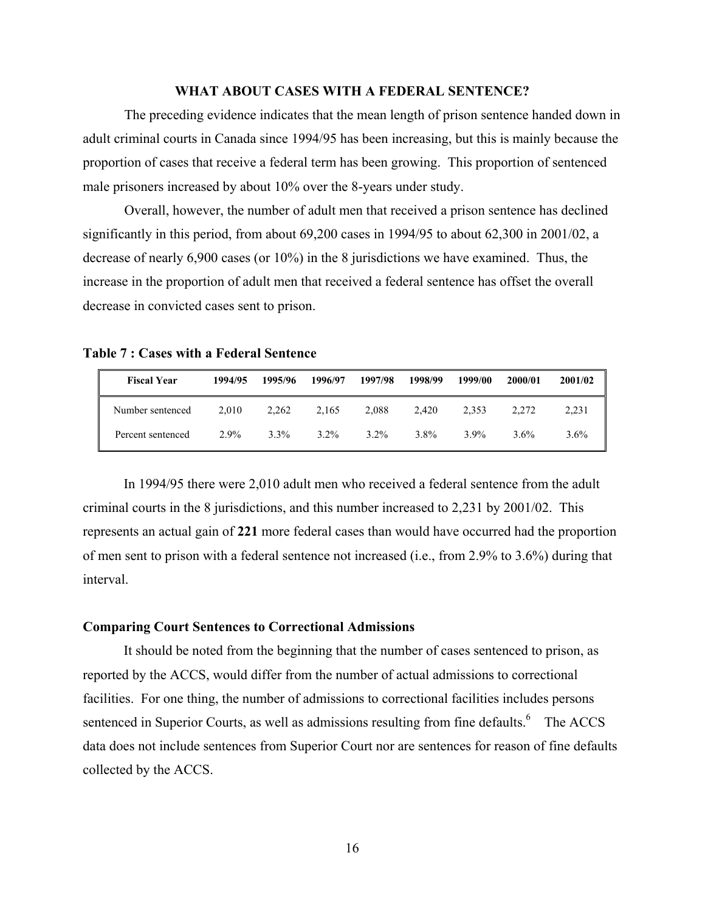## **WHAT ABOUT CASES WITH A FEDERAL SENTENCE?**

The preceding evidence indicates that the mean length of prison sentence handed down in adult criminal courts in Canada since 1994/95 has been increasing, but this is mainly because the proportion of cases that receive a federal term has been growing. This proportion of sentenced male prisoners increased by about 10% over the 8-years under study.

Overall, however, the number of adult men that received a prison sentence has declined significantly in this period, from about 69,200 cases in 1994/95 to about 62,300 in 2001/02, a decrease of nearly 6,900 cases (or 10%) in the 8 jurisdictions we have examined. Thus, the increase in the proportion of adult men that received a federal sentence has offset the overall decrease in convicted cases sent to prison.

**Table 7 : Cases with a Federal Sentence** 

| <b>Fiscal Year</b> | 1994/95 | 1995/96 | 1996/97 | 1997/98 | 1998/99 | 1999/00 | 2000/01 | 2001/02 |
|--------------------|---------|---------|---------|---------|---------|---------|---------|---------|
| Number sentenced   | 2.010   | 2.262   | 2,165   | 2.088   | 2.420   | 2.353   | 2.272   | 2.231   |
| Percent sentenced  | $2.9\%$ | $3.3\%$ | $3.2\%$ | $3.2\%$ | $3.8\%$ | $3.9\%$ | $3.6\%$ | 3.6%    |

In 1994/95 there were 2,010 adult men who received a federal sentence from the adult criminal courts in the 8 jurisdictions, and this number increased to 2,231 by 2001/02. This represents an actual gain of **221** more federal cases than would have occurred had the proportion of men sent to prison with a federal sentence not increased (i.e., from 2.9% to 3.6%) during that interval.

## **Comparing Court Sentences to Correctional Admissions**

It should be noted from the beginning that the number of cases sentenced to prison, as reported by the ACCS, would differ from the number of actual admissions to correctional facilities. For one thing, the number of admissions to correctional facilities includes persons sentenced in Superior Courts, as well as admissions resulting from fine defaults.<sup>6</sup> The ACCS data does not include sentences from Superior Court nor are sentences for reason of fine defaults collected by the ACCS.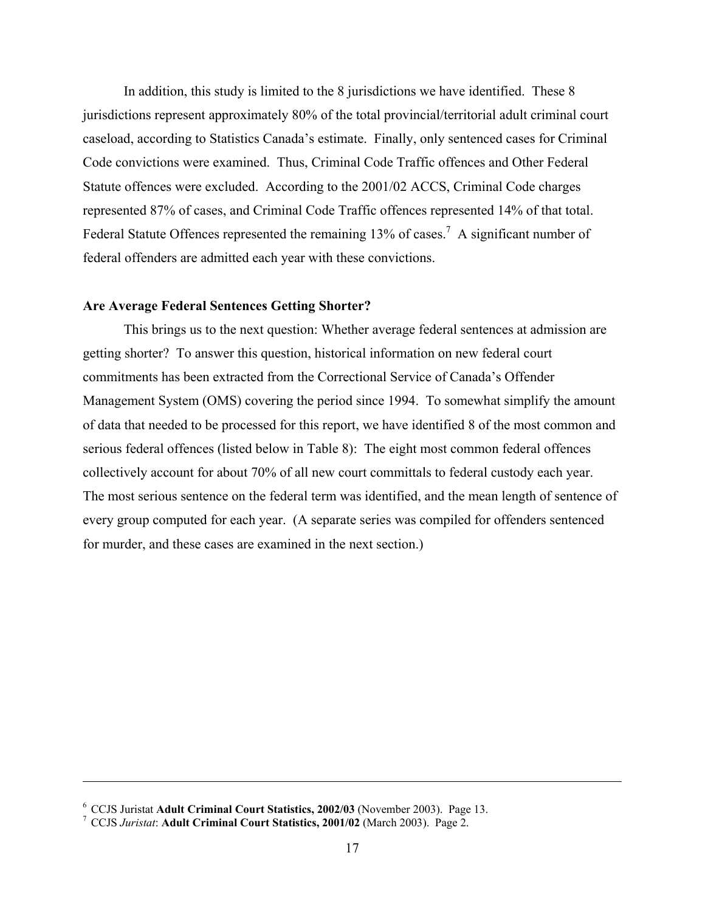In addition, this study is limited to the 8 jurisdictions we have identified. These 8 jurisdictions represent approximately 80% of the total provincial/territorial adult criminal court caseload, according to Statistics Canada's estimate. Finally, only sentenced cases for Criminal Code convictions were examined. Thus, Criminal Code Traffic offences and Other Federal Statute offences were excluded. According to the 2001/02 ACCS, Criminal Code charges represented 87% of cases, and Criminal Code Traffic offences represented 14% of that total. Federal Statute Offences represented the remaining 13% of cases.<sup>7</sup> A significant number of federal offenders are admitted each year with these convictions.

## **Are Average Federal Sentences Getting Shorter?**

This brings us to the next question: Whether average federal sentences at admission are getting shorter? To answer this question, historical information on new federal court commitments has been extracted from the Correctional Service of Canada's Offender Management System (OMS) covering the period since 1994. To somewhat simplify the amount of data that needed to be processed for this report, we have identified 8 of the most common and serious federal offences (listed below in Table 8): The eight most common federal offences collectively account for about 70% of all new court committals to federal custody each year. The most serious sentence on the federal term was identified, and the mean length of sentence of every group computed for each year. (A separate series was compiled for offenders sentenced for murder, and these cases are examined in the next section.)

 $\overline{a}$ 

<sup>&</sup>lt;sup>6</sup> CCJS Juristat **Adult Criminal Court Statistics, 2002/03** (November 2003). Page 13.

CCJS *Juristat*: **Adult Criminal Court Statistics, 2001/02** (March 2003). Page 2.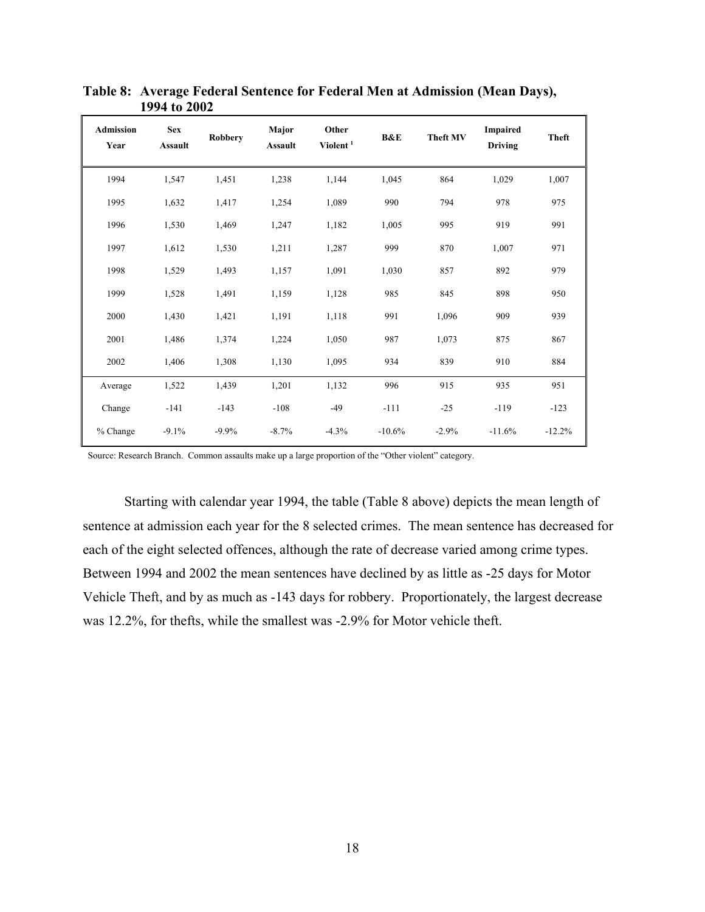| <b>Admission</b><br>Year | <b>Sex</b><br><b>Assault</b> | <b>Robbery</b> | Major<br><b>Assault</b> | Other<br>Violent $^1$ | <b>B&amp;E</b> | <b>Theft MV</b> | Impaired<br><b>Driving</b> | <b>Theft</b> |
|--------------------------|------------------------------|----------------|-------------------------|-----------------------|----------------|-----------------|----------------------------|--------------|
| 1994                     | 1,547                        | 1,451          | 1,238                   | 1,144                 | 1,045          | 864             | 1,029                      | 1,007        |
| 1995                     | 1,632                        | 1,417          | 1,254                   | 1,089                 | 990            | 794             | 978                        | 975          |
| 1996                     | 1,530                        | 1,469          | 1,247                   | 1,182                 | 1,005          | 995             | 919                        | 991          |
| 1997                     | 1,612                        | 1,530          | 1,211                   | 1,287                 | 999            | 870             | 1,007                      | 971          |
| 1998                     | 1,529                        | 1,493          | 1,157                   | 1,091                 | 1,030          | 857             | 892                        | 979          |
| 1999                     | 1,528                        | 1,491          | 1,159                   | 1,128                 | 985            | 845             | 898                        | 950          |
| 2000                     | 1,430                        | 1,421          | 1,191                   | 1,118                 | 991            | 1,096           | 909                        | 939          |
| 2001                     | 1,486                        | 1,374          | 1,224                   | 1,050                 | 987            | 1,073           | 875                        | 867          |
| 2002                     | 1,406                        | 1,308          | 1,130                   | 1,095                 | 934            | 839             | 910                        | 884          |
| Average                  | 1,522                        | 1,439          | 1,201                   | 1,132                 | 996            | 915             | 935                        | 951          |
| Change                   | $-141$                       | $-143$         | $-108$                  | $-49$                 | $-111$         | $-25$           | $-119$                     | $-123$       |
| % Change                 | $-9.1%$                      | $-9.9%$        | $-8.7%$                 | $-4.3%$               | $-10.6%$       | $-2.9%$         | $-11.6%$                   | $-12.2%$     |

**Table 8: Average Federal Sentence for Federal Men at Admission (Mean Days), 1994 to 2002** 

Source: Research Branch. Common assaults make up a large proportion of the "Other violent" category.

Starting with calendar year 1994, the table (Table 8 above) depicts the mean length of sentence at admission each year for the 8 selected crimes. The mean sentence has decreased for each of the eight selected offences, although the rate of decrease varied among crime types. Between 1994 and 2002 the mean sentences have declined by as little as -25 days for Motor Vehicle Theft, and by as much as -143 days for robbery. Proportionately, the largest decrease was 12.2%, for thefts, while the smallest was -2.9% for Motor vehicle theft.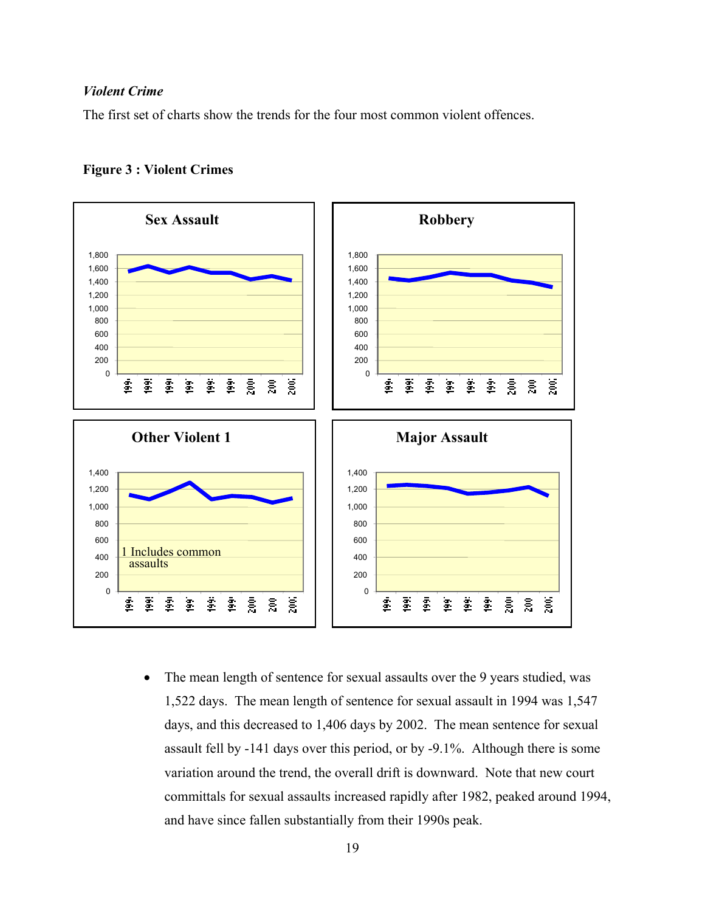## *Violent Crime*

The first set of charts show the trends for the four most common violent offences.





• The mean length of sentence for sexual assaults over the 9 years studied, was 1,522 days. The mean length of sentence for sexual assault in 1994 was 1,547 days, and this decreased to 1,406 days by 2002. The mean sentence for sexual assault fell by -141 days over this period, or by -9.1%. Although there is some variation around the trend, the overall drift is downward. Note that new court committals for sexual assaults increased rapidly after 1982, peaked around 1994, and have since fallen substantially from their 1990s peak.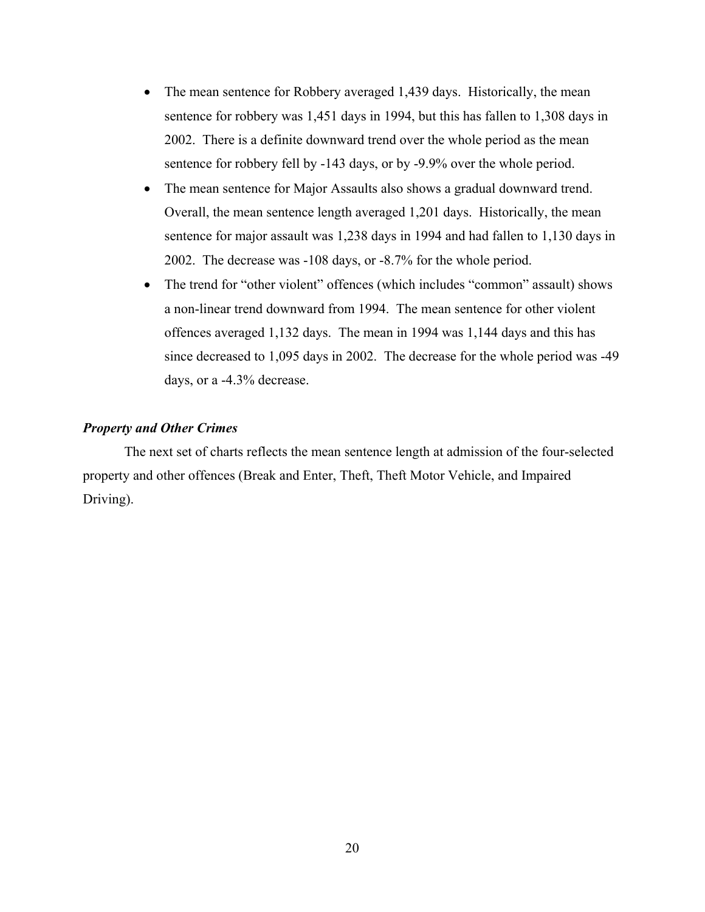- The mean sentence for Robbery averaged 1,439 days. Historically, the mean sentence for robbery was 1,451 days in 1994, but this has fallen to 1,308 days in 2002. There is a definite downward trend over the whole period as the mean sentence for robbery fell by -143 days, or by -9.9% over the whole period.
- The mean sentence for Major Assaults also shows a gradual downward trend. Overall, the mean sentence length averaged 1,201 days. Historically, the mean sentence for major assault was 1,238 days in 1994 and had fallen to 1,130 days in 2002. The decrease was -108 days, or -8.7% for the whole period.
- The trend for "other violent" offences (which includes "common" assault) shows a non-linear trend downward from 1994. The mean sentence for other violent offences averaged 1,132 days. The mean in 1994 was 1,144 days and this has since decreased to 1,095 days in 2002. The decrease for the whole period was -49 days, or a -4.3% decrease.

## *Property and Other Crimes*

The next set of charts reflects the mean sentence length at admission of the four-selected property and other offences (Break and Enter, Theft, Theft Motor Vehicle, and Impaired Driving).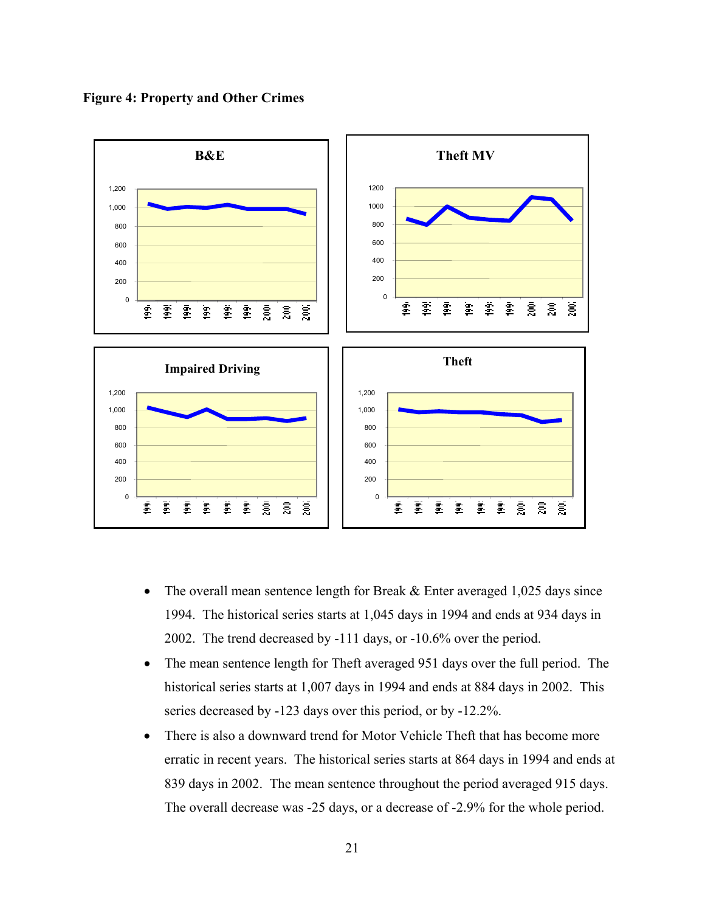



- The overall mean sentence length for Break & Enter averaged 1,025 days since 1994. The historical series starts at 1,045 days in 1994 and ends at 934 days in 2002. The trend decreased by -111 days, or -10.6% over the period.
- The mean sentence length for Theft averaged 951 days over the full period. The historical series starts at 1,007 days in 1994 and ends at 884 days in 2002. This series decreased by -123 days over this period, or by -12.2%.
- There is also a downward trend for Motor Vehicle Theft that has become more erratic in recent years. The historical series starts at 864 days in 1994 and ends at 839 days in 2002. The mean sentence throughout the period averaged 915 days. The overall decrease was -25 days, or a decrease of -2.9% for the whole period.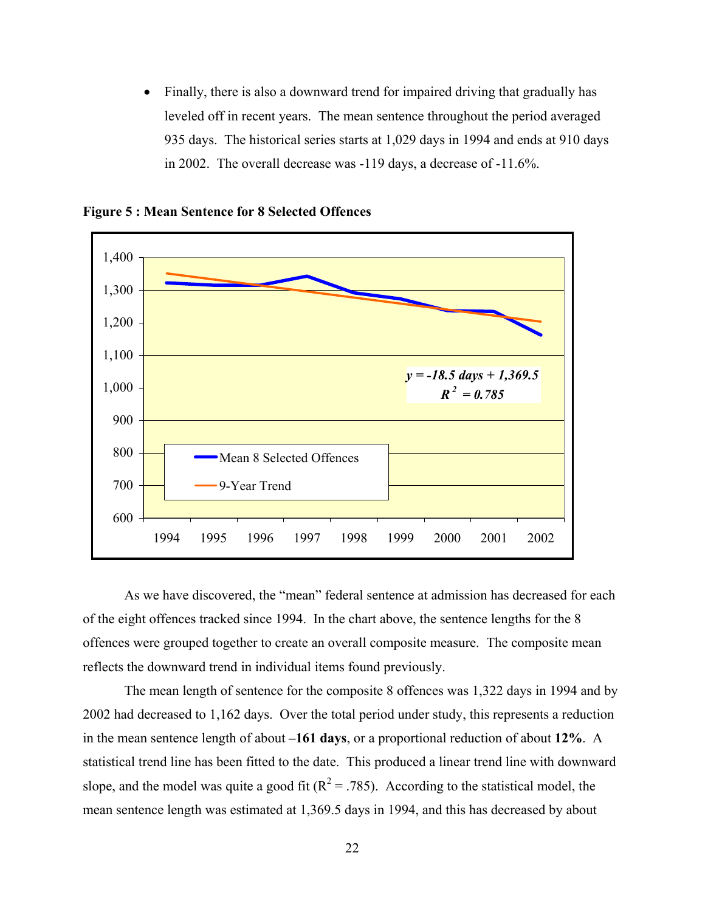• Finally, there is also a downward trend for impaired driving that gradually has leveled off in recent years. The mean sentence throughout the period averaged 935 days. The historical series starts at 1,029 days in 1994 and ends at 910 days in 2002. The overall decrease was -119 days, a decrease of -11.6%.



**Figure 5 : Mean Sentence for 8 Selected Offences** 

As we have discovered, the "mean" federal sentence at admission has decreased for each of the eight offences tracked since 1994. In the chart above, the sentence lengths for the 8 offences were grouped together to create an overall composite measure. The composite mean reflects the downward trend in individual items found previously.

The mean length of sentence for the composite 8 offences was 1,322 days in 1994 and by 2002 had decreased to 1,162 days. Over the total period under study, this represents a reduction in the mean sentence length of about **–161 days**, or a proportional reduction of about **12%**. A statistical trend line has been fitted to the date. This produced a linear trend line with downward slope, and the model was quite a good fit ( $R^2 = .785$ ). According to the statistical model, the mean sentence length was estimated at 1,369.5 days in 1994, and this has decreased by about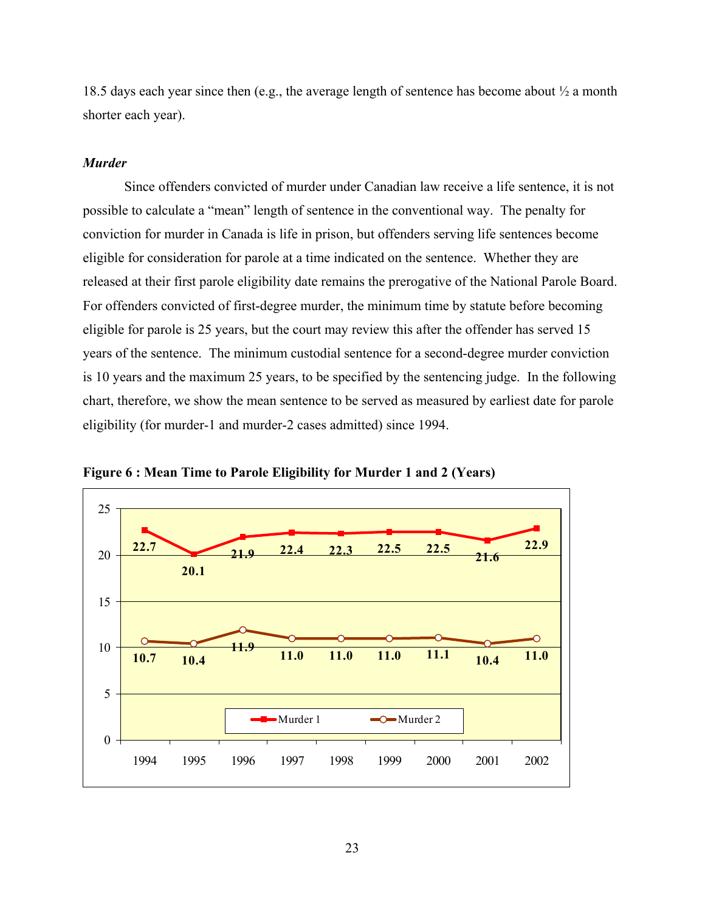18.5 days each year since then (e.g., the average length of sentence has become about ½ a month shorter each year).

#### *Murder*

Since offenders convicted of murder under Canadian law receive a life sentence, it is not possible to calculate a "mean" length of sentence in the conventional way. The penalty for conviction for murder in Canada is life in prison, but offenders serving life sentences become eligible for consideration for parole at a time indicated on the sentence. Whether they are released at their first parole eligibility date remains the prerogative of the National Parole Board. For offenders convicted of first-degree murder, the minimum time by statute before becoming eligible for parole is 25 years, but the court may review this after the offender has served 15 years of the sentence. The minimum custodial sentence for a second-degree murder conviction is 10 years and the maximum 25 years, to be specified by the sentencing judge. In the following chart, therefore, we show the mean sentence to be served as measured by earliest date for parole eligibility (for murder-1 and murder-2 cases admitted) since 1994.



**Figure 6 : Mean Time to Parole Eligibility for Murder 1 and 2 (Years)**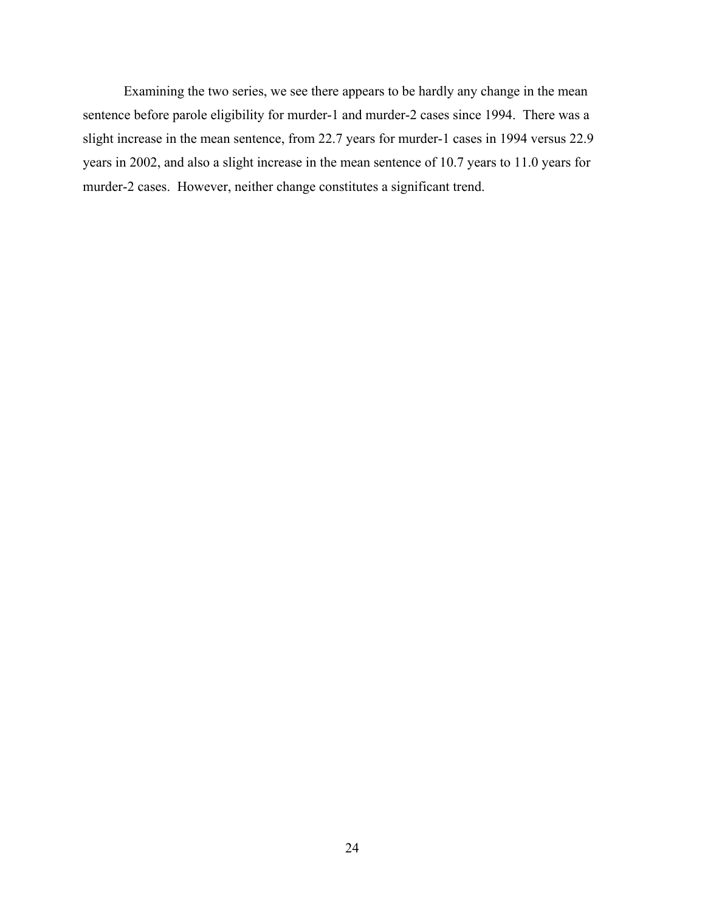Examining the two series, we see there appears to be hardly any change in the mean sentence before parole eligibility for murder-1 and murder-2 cases since 1994. There was a slight increase in the mean sentence, from 22.7 years for murder-1 cases in 1994 versus 22.9 years in 2002, and also a slight increase in the mean sentence of 10.7 years to 11.0 years for murder-2 cases. However, neither change constitutes a significant trend.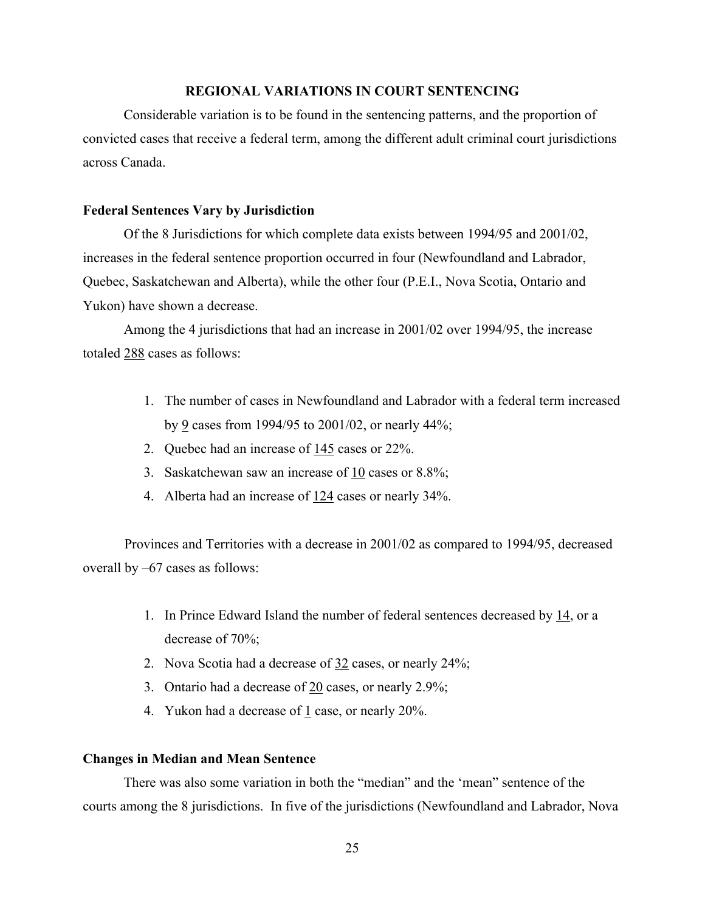## **REGIONAL VARIATIONS IN COURT SENTENCING**

Considerable variation is to be found in the sentencing patterns, and the proportion of convicted cases that receive a federal term, among the different adult criminal court jurisdictions across Canada.

## **Federal Sentences Vary by Jurisdiction**

Of the 8 Jurisdictions for which complete data exists between 1994/95 and 2001/02, increases in the federal sentence proportion occurred in four (Newfoundland and Labrador, Quebec, Saskatchewan and Alberta), while the other four (P.E.I., Nova Scotia, Ontario and Yukon) have shown a decrease.

Among the 4 jurisdictions that had an increase in 2001/02 over 1994/95, the increase totaled 288 cases as follows:

- 1. The number of cases in Newfoundland and Labrador with a federal term increased by 9 cases from 1994/95 to 2001/02, or nearly 44%;
- 2. Quebec had an increase of 145 cases or 22%.
- 3. Saskatchewan saw an increase of 10 cases or 8.8%;
- 4. Alberta had an increase of 124 cases or nearly 34%.

Provinces and Territories with a decrease in 2001/02 as compared to 1994/95, decreased overall by –67 cases as follows:

- 1. In Prince Edward Island the number of federal sentences decreased by 14, or a decrease of 70%;
- 2. Nova Scotia had a decrease of 32 cases, or nearly 24%;
- 3. Ontario had a decrease of 20 cases, or nearly 2.9%;
- 4. Yukon had a decrease of 1 case, or nearly 20%.

## **Changes in Median and Mean Sentence**

There was also some variation in both the "median" and the 'mean" sentence of the courts among the 8 jurisdictions. In five of the jurisdictions (Newfoundland and Labrador, Nova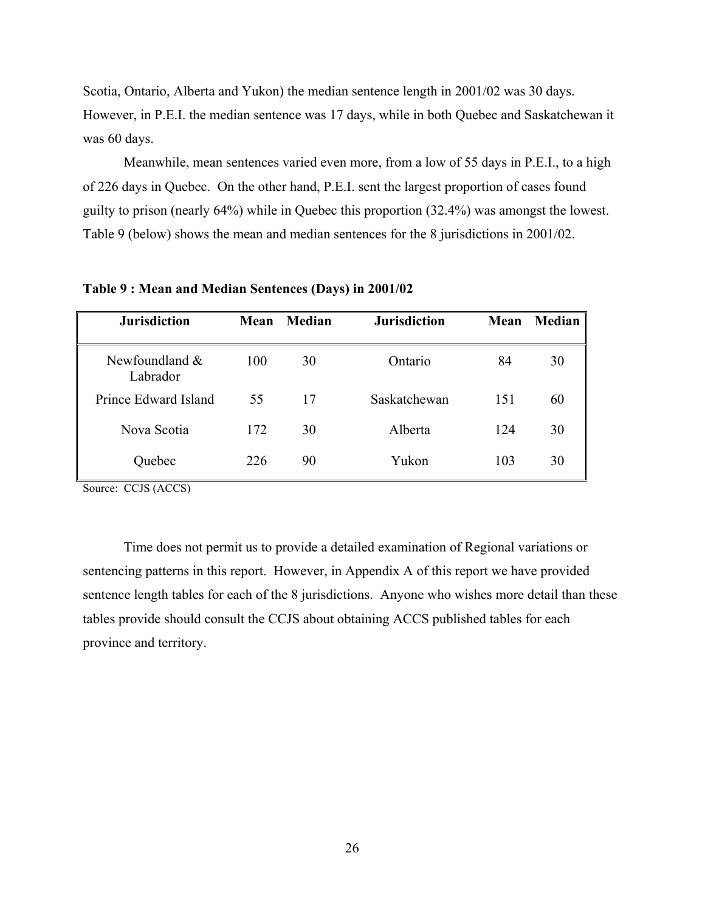Scotia, Ontario, Alberta and Yukon) the median sentence length in 2001/02 was 30 days. However, in P.E.I. the median sentence was 17 days, while in both Quebec and Saskatchewan it was 60 days.

Meanwhile, mean sentences varied even more, from a low of 55 days in P.E.I., to a high of 226 days in Quebec. On the other hand, P.E.I. sent the largest proportion of cases found guilty to prison (nearly 64%) while in Quebec this proportion (32.4%) was amongst the lowest. Table 9 (below) shows the mean and median sentences for the 8 jurisdictions in 2001/02.

| <b>Jurisdiction</b>          | Mean | Median | <b>Jurisdiction</b> | Mean | Median |
|------------------------------|------|--------|---------------------|------|--------|
| Newfoundland $&$<br>Labrador | 100  | 30     | Ontario             | 84   | 30     |
| Prince Edward Island         | 55   | 17     | Saskatchewan        | 151  | 60     |
| Nova Scotia                  | 172  | 30     | Alberta             | 124  | 30     |
| Quebec                       | 226  | 90     | Yukon               | 103  | 30     |

**Table 9 : Mean and Median Sentences (Days) in 2001/02** 

Source: CCJS (ACCS)

Time does not permit us to provide a detailed examination of Regional variations or sentencing patterns in this report. However, in Appendix A of this report we have provided sentence length tables for each of the 8 jurisdictions. Anyone who wishes more detail than these tables provide should consult the CCJS about obtaining ACCS published tables for each province and territory.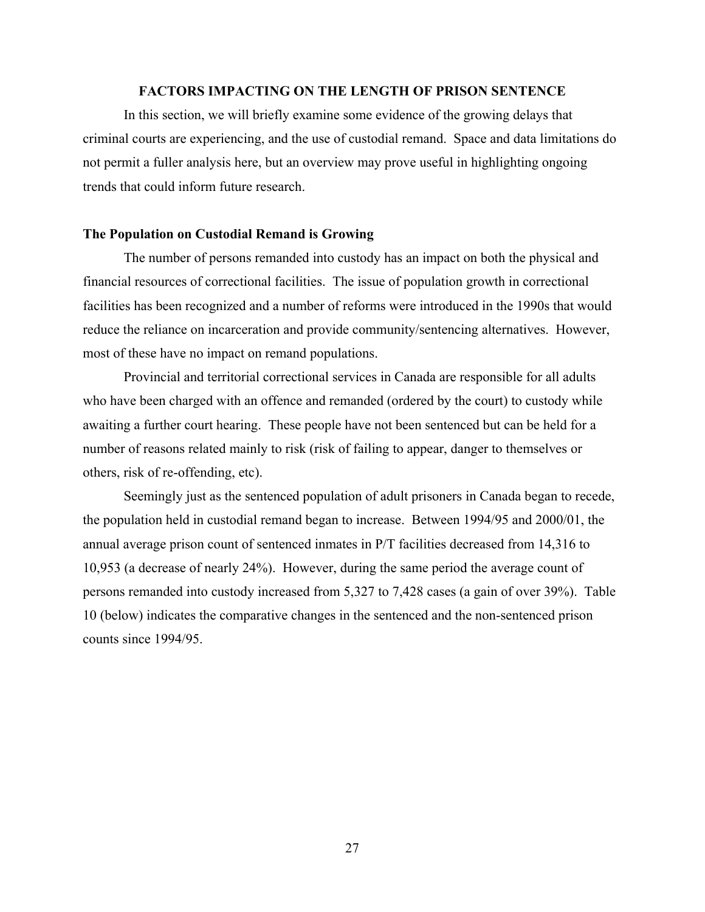## **FACTORS IMPACTING ON THE LENGTH OF PRISON SENTENCE**

In this section, we will briefly examine some evidence of the growing delays that criminal courts are experiencing, and the use of custodial remand. Space and data limitations do not permit a fuller analysis here, but an overview may prove useful in highlighting ongoing trends that could inform future research.

### **The Population on Custodial Remand is Growing**

The number of persons remanded into custody has an impact on both the physical and financial resources of correctional facilities. The issue of population growth in correctional facilities has been recognized and a number of reforms were introduced in the 1990s that would reduce the reliance on incarceration and provide community/sentencing alternatives. However, most of these have no impact on remand populations.

Provincial and territorial correctional services in Canada are responsible for all adults who have been charged with an offence and remanded (ordered by the court) to custody while awaiting a further court hearing. These people have not been sentenced but can be held for a number of reasons related mainly to risk (risk of failing to appear, danger to themselves or others, risk of re-offending, etc).

Seemingly just as the sentenced population of adult prisoners in Canada began to recede, the population held in custodial remand began to increase. Between 1994/95 and 2000/01, the annual average prison count of sentenced inmates in P/T facilities decreased from 14,316 to 10,953 (a decrease of nearly 24%). However, during the same period the average count of persons remanded into custody increased from 5,327 to 7,428 cases (a gain of over 39%). Table 10 (below) indicates the comparative changes in the sentenced and the non-sentenced prison counts since 1994/95.

27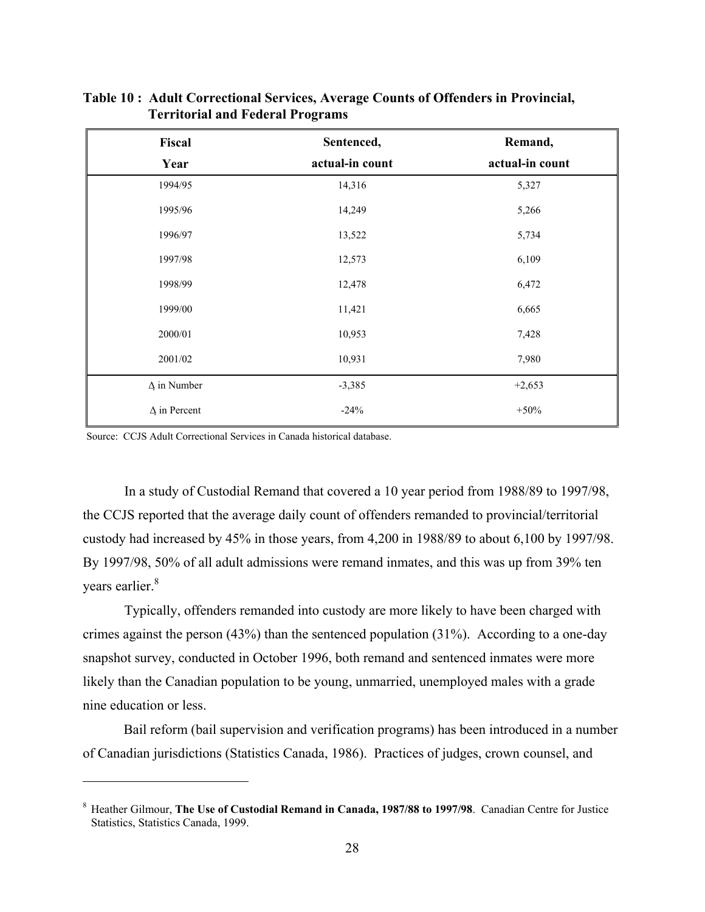| Fiscal              | Sentenced,      | Remand,         |
|---------------------|-----------------|-----------------|
| Year                | actual-in count | actual-in count |
| 1994/95             | 14,316          | 5,327           |
| 1995/96             | 14,249          | 5,266           |
| 1996/97             | 13,522          | 5,734           |
| 1997/98             | 12,573          | 6,109           |
| 1998/99             | 12,478          | 6,472           |
| 1999/00             | 11,421          | 6,665           |
| 2000/01             | 10,953          | 7,428           |
| 2001/02             | 10,931          | 7,980           |
| $\Delta$ in Number  | $-3,385$        | $+2,653$        |
| $\Delta$ in Percent | $-24%$          | $+50%$          |

**Table 10 : Adult Correctional Services, Average Counts of Offenders in Provincial, Territorial and Federal Programs** 

Source: CCJS Adult Correctional Services in Canada historical database.

 $\overline{a}$ 

In a study of Custodial Remand that covered a 10 year period from 1988/89 to 1997/98, the CCJS reported that the average daily count of offenders remanded to provincial/territorial custody had increased by 45% in those years, from 4,200 in 1988/89 to about 6,100 by 1997/98. By 1997/98, 50% of all adult admissions were remand inmates, and this was up from 39% ten years earlier.<sup>8</sup>

Typically, offenders remanded into custody are more likely to have been charged with crimes against the person (43%) than the sentenced population (31%). According to a one-day snapshot survey, conducted in October 1996, both remand and sentenced inmates were more likely than the Canadian population to be young, unmarried, unemployed males with a grade nine education or less.

Bail reform (bail supervision and verification programs) has been introduced in a number of Canadian jurisdictions (Statistics Canada, 1986). Practices of judges, crown counsel, and

<sup>&</sup>lt;sup>8</sup> Heather Gilmour, The Use of Custodial Remand in Canada, 1987/88 to 1997/98. Canadian Centre for Justice Statistics, Statistics Canada, 1999.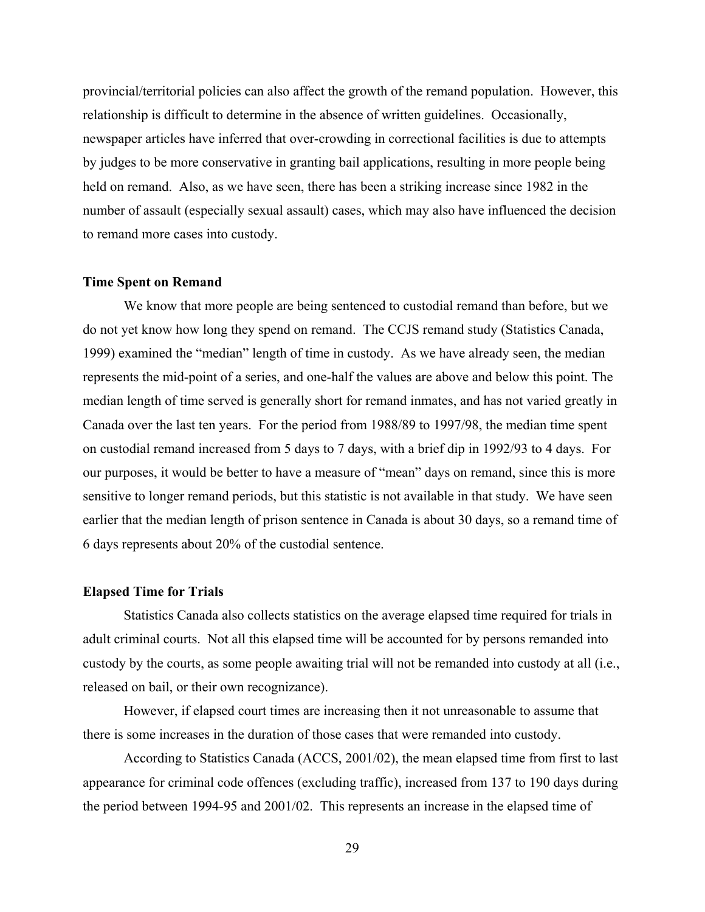provincial/territorial policies can also affect the growth of the remand population. However, this relationship is difficult to determine in the absence of written guidelines. Occasionally, newspaper articles have inferred that over-crowding in correctional facilities is due to attempts by judges to be more conservative in granting bail applications, resulting in more people being held on remand. Also, as we have seen, there has been a striking increase since 1982 in the number of assault (especially sexual assault) cases, which may also have influenced the decision to remand more cases into custody.

### **Time Spent on Remand**

We know that more people are being sentenced to custodial remand than before, but we do not yet know how long they spend on remand. The CCJS remand study (Statistics Canada, 1999) examined the "median" length of time in custody. As we have already seen, the median represents the mid-point of a series, and one-half the values are above and below this point. The median length of time served is generally short for remand inmates, and has not varied greatly in Canada over the last ten years. For the period from 1988/89 to 1997/98, the median time spent on custodial remand increased from 5 days to 7 days, with a brief dip in 1992/93 to 4 days. For our purposes, it would be better to have a measure of "mean" days on remand, since this is more sensitive to longer remand periods, but this statistic is not available in that study. We have seen earlier that the median length of prison sentence in Canada is about 30 days, so a remand time of 6 days represents about 20% of the custodial sentence.

### **Elapsed Time for Trials**

Statistics Canada also collects statistics on the average elapsed time required for trials in adult criminal courts. Not all this elapsed time will be accounted for by persons remanded into custody by the courts, as some people awaiting trial will not be remanded into custody at all (i.e., released on bail, or their own recognizance).

However, if elapsed court times are increasing then it not unreasonable to assume that there is some increases in the duration of those cases that were remanded into custody.

According to Statistics Canada (ACCS, 2001/02), the mean elapsed time from first to last appearance for criminal code offences (excluding traffic), increased from 137 to 190 days during the period between 1994-95 and 2001/02. This represents an increase in the elapsed time of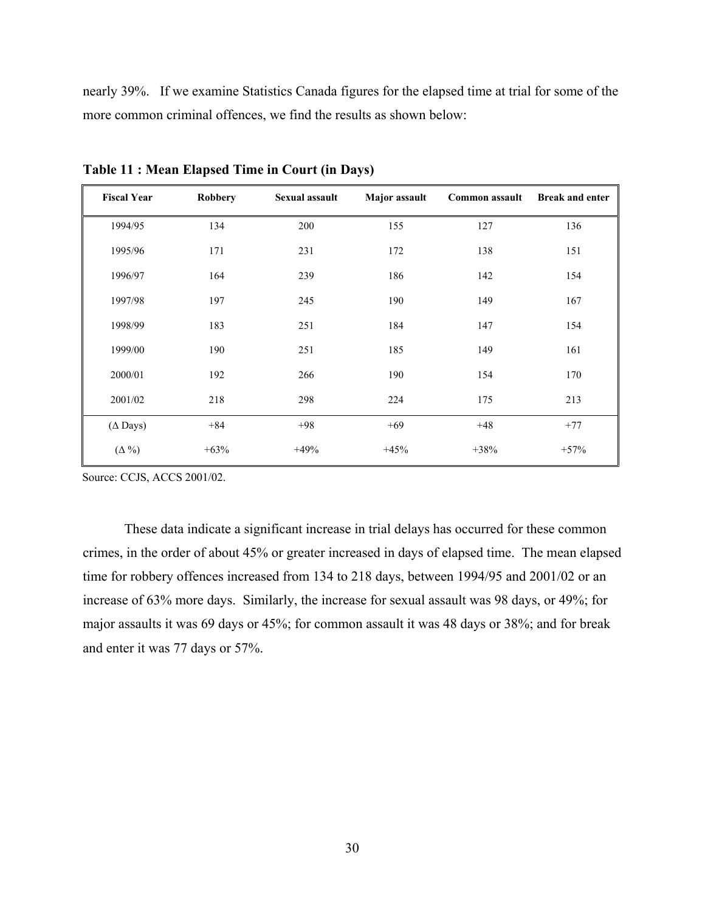nearly 39%. If we examine Statistics Canada figures for the elapsed time at trial for some of the more common criminal offences, we find the results as shown below:

| <b>Fiscal Year</b> | <b>Robbery</b> | Sexual assault | Major assault | Common assault | <b>Break and enter</b> |
|--------------------|----------------|----------------|---------------|----------------|------------------------|
| 1994/95            | 134            | 200            | 155           | 127            | 136                    |
| 1995/96            | 171            | 231            | 172           | 138            | 151                    |
| 1996/97            | 164            | 239            | 186           | 142            | 154                    |
| 1997/98            | 197            | 245            | 190           | 149            | 167                    |
| 1998/99            | 183            | 251            | 184           | 147            | 154                    |
| 1999/00            | 190            | 251            | 185           | 149            | 161                    |
| 2000/01            | 192            | 266            | 190           | 154            | 170                    |
| 2001/02            | 218            | 298            | 224           | 175            | 213                    |
| $(\Delta$ Days)    | $+84$          | $+98$          | $+69$         | $+48$          | $+77$                  |
| $(\Delta\% )$      | $+63%$         | $+49%$         | $+45%$        | $+38%$         | $+57%$                 |

**Table 11 : Mean Elapsed Time in Court (in Days)** 

Source: CCJS, ACCS 2001/02.

These data indicate a significant increase in trial delays has occurred for these common crimes, in the order of about 45% or greater increased in days of elapsed time. The mean elapsed time for robbery offences increased from 134 to 218 days, between 1994/95 and 2001/02 or an increase of 63% more days. Similarly, the increase for sexual assault was 98 days, or 49%; for major assaults it was 69 days or 45%; for common assault it was 48 days or 38%; and for break and enter it was 77 days or 57%.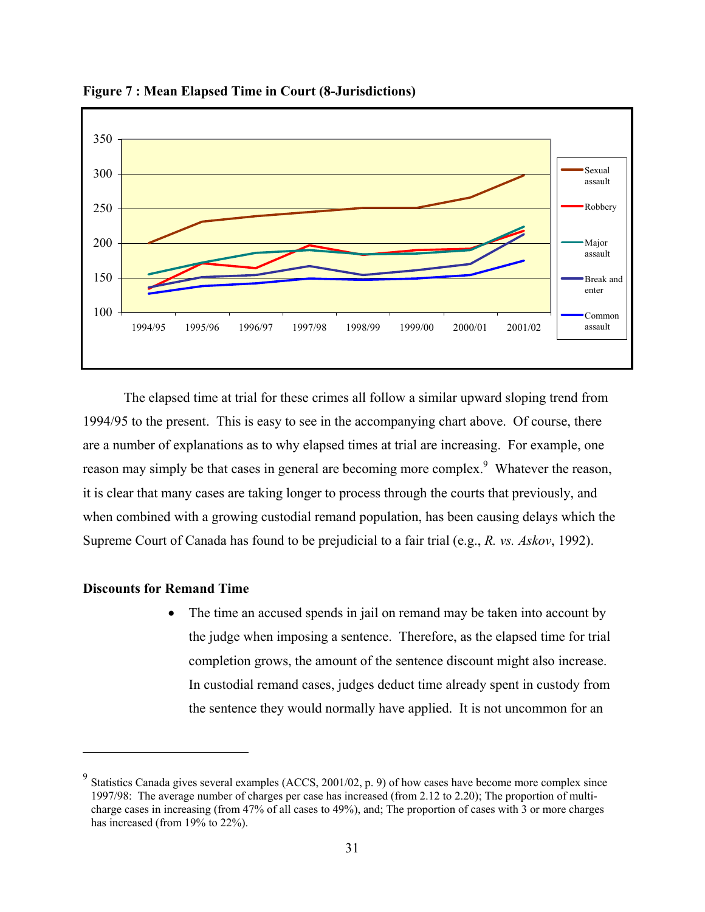

**Figure 7 : Mean Elapsed Time in Court (8-Jurisdictions)** 

The elapsed time at trial for these crimes all follow a similar upward sloping trend from 1994/95 to the present. This is easy to see in the accompanying chart above. Of course, there are a number of explanations as to why elapsed times at trial are increasing. For example, one reason may simply be that cases in general are becoming more complex.<sup>9</sup> Whatever the reason, it is clear that many cases are taking longer to process through the courts that previously, and when combined with a growing custodial remand population, has been causing delays which the Supreme Court of Canada has found to be prejudicial to a fair trial (e.g., *R. vs. Askov*, 1992).

## **Discounts for Remand Time**

 $\overline{a}$ 

The time an accused spends in jail on remand may be taken into account by the judge when imposing a sentence. Therefore, as the elapsed time for trial completion grows, the amount of the sentence discount might also increase. In custodial remand cases, judges deduct time already spent in custody from the sentence they would normally have applied. It is not uncommon for an

<sup>&</sup>lt;sup>9</sup> Statistics Canada gives several examples (ACCS, 2001/02, p. 9) of how cases have become more complex since 1997/98: The average number of charges per case has increased (from 2.12 to 2.20); The proportion of multicharge cases in increasing (from 47% of all cases to 49%), and; The proportion of cases with 3 or more charges has increased (from 19% to 22%).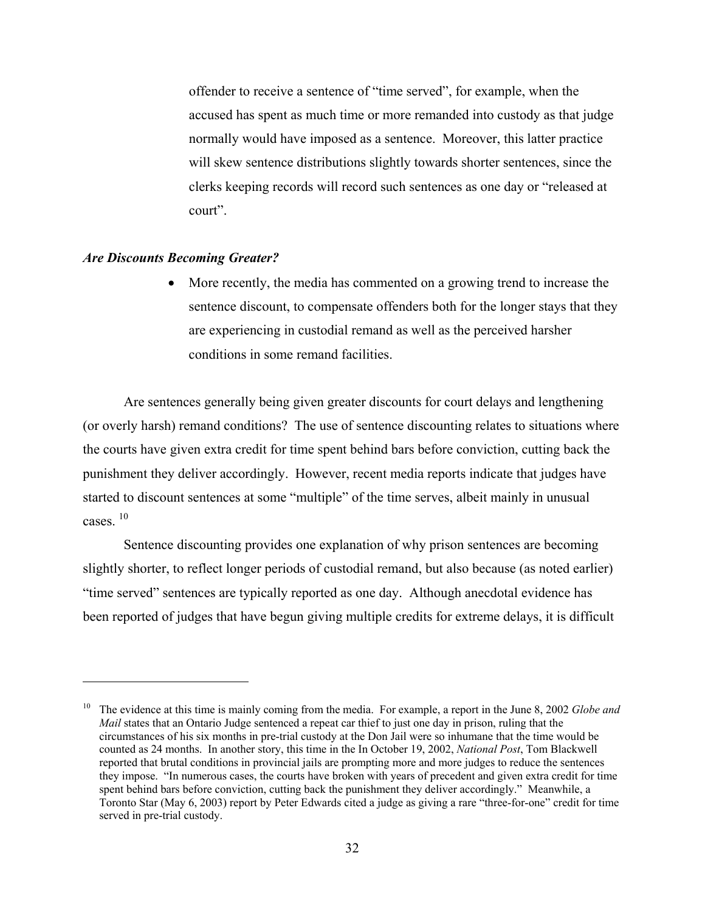offender to receive a sentence of "time served", for example, when the accused has spent as much time or more remanded into custody as that judge normally would have imposed as a sentence. Moreover, this latter practice will skew sentence distributions slightly towards shorter sentences, since the clerks keeping records will record such sentences as one day or "released at court".

#### *Are Discounts Becoming Greater?*

 $\overline{a}$ 

• More recently, the media has commented on a growing trend to increase the sentence discount, to compensate offenders both for the longer stays that they are experiencing in custodial remand as well as the perceived harsher conditions in some remand facilities.

Are sentences generally being given greater discounts for court delays and lengthening (or overly harsh) remand conditions? The use of sentence discounting relates to situations where the courts have given extra credit for time spent behind bars before conviction, cutting back the punishment they deliver accordingly. However, recent media reports indicate that judges have started to discount sentences at some "multiple" of the time serves, albeit mainly in unusual cases. 10

Sentence discounting provides one explanation of why prison sentences are becoming slightly shorter, to reflect longer periods of custodial remand, but also because (as noted earlier) "time served" sentences are typically reported as one day. Although anecdotal evidence has been reported of judges that have begun giving multiple credits for extreme delays, it is difficult

<sup>10</sup> The evidence at this time is mainly coming from the media. For example, a report in the June 8, 2002 *Globe and Mail* states that an Ontario Judge sentenced a repeat car thief to just one day in prison, ruling that the circumstances of his six months in pre-trial custody at the Don Jail were so inhumane that the time would be counted as 24 months. In another story, this time in the In October 19, 2002, *National Post*, Tom Blackwell reported that brutal conditions in provincial jails are prompting more and more judges to reduce the sentences they impose. "In numerous cases, the courts have broken with years of precedent and given extra credit for time spent behind bars before conviction, cutting back the punishment they deliver accordingly." Meanwhile, a Toronto Star (May 6, 2003) report by Peter Edwards cited a judge as giving a rare "three-for-one" credit for time served in pre-trial custody.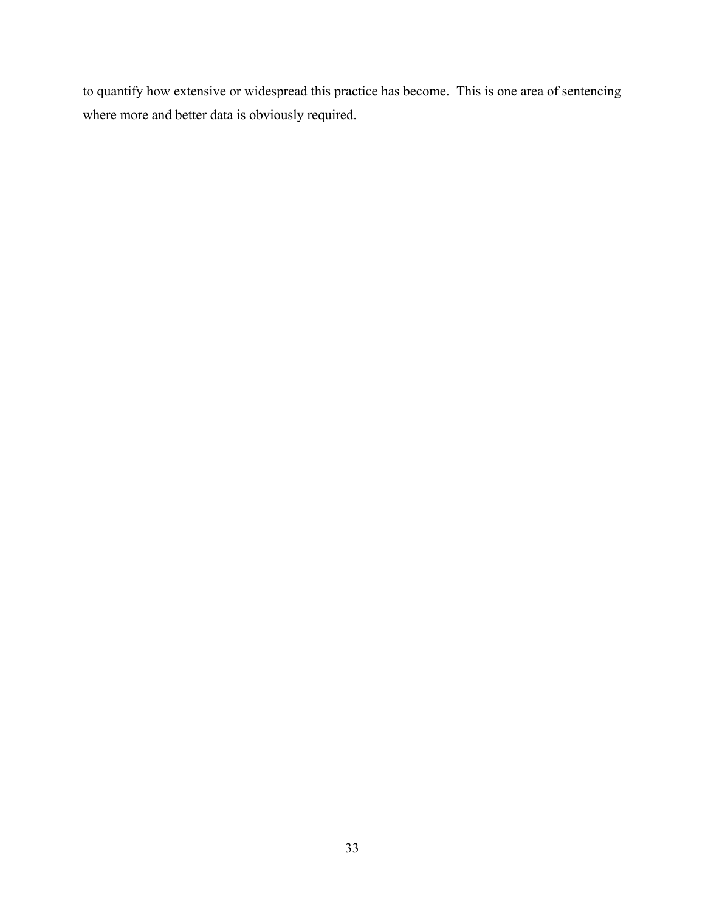to quantify how extensive or widespread this practice has become. This is one area of sentencing where more and better data is obviously required.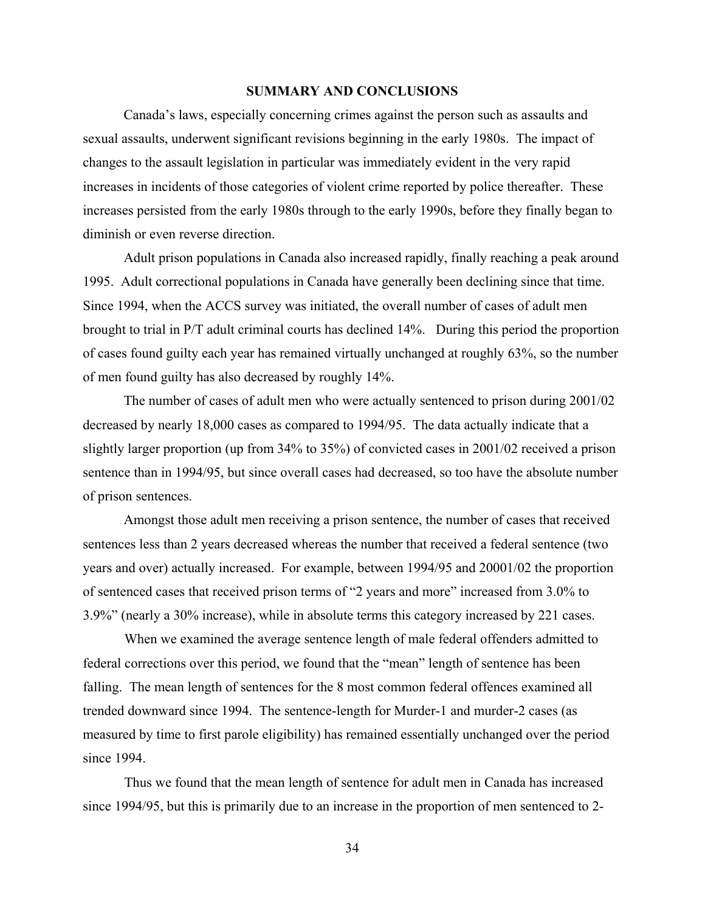### **SUMMARY AND CONCLUSIONS**

Canada's laws, especially concerning crimes against the person such as assaults and sexual assaults, underwent significant revisions beginning in the early 1980s. The impact of changes to the assault legislation in particular was immediately evident in the very rapid increases in incidents of those categories of violent crime reported by police thereafter. These increases persisted from the early 1980s through to the early 1990s, before they finally began to diminish or even reverse direction.

Adult prison populations in Canada also increased rapidly, finally reaching a peak around 1995. Adult correctional populations in Canada have generally been declining since that time. Since 1994, when the ACCS survey was initiated, the overall number of cases of adult men brought to trial in P/T adult criminal courts has declined 14%. During this period the proportion of cases found guilty each year has remained virtually unchanged at roughly 63%, so the number of men found guilty has also decreased by roughly 14%.

The number of cases of adult men who were actually sentenced to prison during 2001/02 decreased by nearly 18,000 cases as compared to 1994/95. The data actually indicate that a slightly larger proportion (up from 34% to 35%) of convicted cases in 2001/02 received a prison sentence than in 1994/95, but since overall cases had decreased, so too have the absolute number of prison sentences.

Amongst those adult men receiving a prison sentence, the number of cases that received sentences less than 2 years decreased whereas the number that received a federal sentence (two years and over) actually increased. For example, between 1994/95 and 20001/02 the proportion of sentenced cases that received prison terms of "2 years and more" increased from 3.0% to 3.9%" (nearly a 30% increase), while in absolute terms this category increased by 221 cases.

When we examined the average sentence length of male federal offenders admitted to federal corrections over this period, we found that the "mean" length of sentence has been falling. The mean length of sentences for the 8 most common federal offences examined all trended downward since 1994. The sentence-length for Murder-1 and murder-2 cases (as measured by time to first parole eligibility) has remained essentially unchanged over the period since 1994.

Thus we found that the mean length of sentence for adult men in Canada has increased since 1994/95, but this is primarily due to an increase in the proportion of men sentenced to 2-

34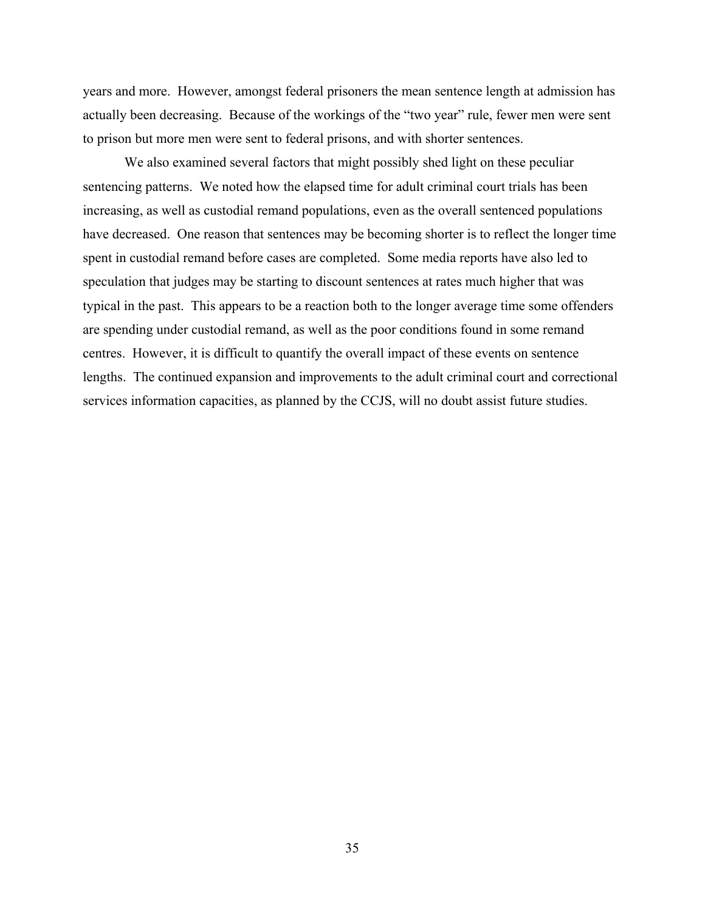years and more. However, amongst federal prisoners the mean sentence length at admission has actually been decreasing. Because of the workings of the "two year" rule, fewer men were sent to prison but more men were sent to federal prisons, and with shorter sentences.

We also examined several factors that might possibly shed light on these peculiar sentencing patterns. We noted how the elapsed time for adult criminal court trials has been increasing, as well as custodial remand populations, even as the overall sentenced populations have decreased. One reason that sentences may be becoming shorter is to reflect the longer time spent in custodial remand before cases are completed. Some media reports have also led to speculation that judges may be starting to discount sentences at rates much higher that was typical in the past. This appears to be a reaction both to the longer average time some offenders are spending under custodial remand, as well as the poor conditions found in some remand centres. However, it is difficult to quantify the overall impact of these events on sentence lengths. The continued expansion and improvements to the adult criminal court and correctional services information capacities, as planned by the CCJS, will no doubt assist future studies.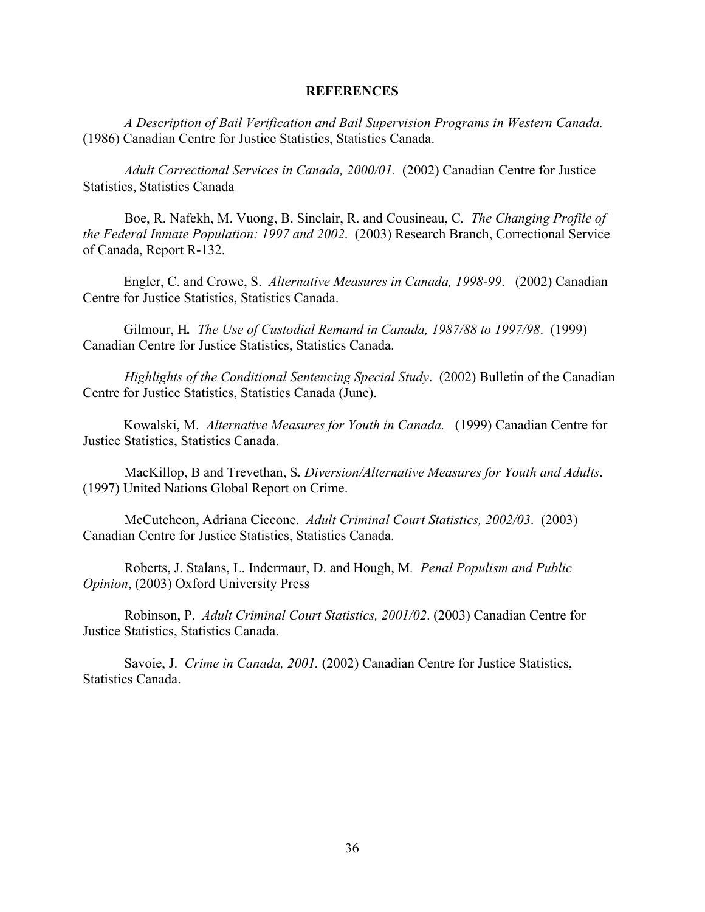### **REFERENCES**

*A Description of Bail Verification and Bail Supervision Programs in Western Canada.* (1986) Canadian Centre for Justice Statistics, Statistics Canada.

*Adult Correctional Services in Canada, 2000/01.*(2002) Canadian Centre for Justice Statistics, Statistics Canada

 Boe, R. Nafekh, M. Vuong, B. Sinclair, R. and Cousineau, C*. The Changing Profile of the Federal Inmate Population: 1997 and 2002*. (2003) Research Branch, Correctional Service of Canada, Report R-132.

Engler, C. and Crowe, S. *Alternative Measures in Canada, 1998-99*.(2002) Canadian Centre for Justice Statistics, Statistics Canada.

Gilmour, H*. The Use of Custodial Remand in Canada, 1987/88 to 1997/98*. (1999) Canadian Centre for Justice Statistics, Statistics Canada.

*Highlights of the Conditional Sentencing Special Study*. (2002) Bulletin of the Canadian Centre for Justice Statistics, Statistics Canada (June).

Kowalski, M. *Alternative Measures for Youth in Canada.*(1999) Canadian Centre for Justice Statistics, Statistics Canada.

 MacKillop, B and Trevethan, S*. Diversion/Alternative Measures for Youth and Adults*. (1997) United Nations Global Report on Crime.

 McCutcheon, Adriana Ciccone. *Adult Criminal Court Statistics, 2002/03*. (2003) Canadian Centre for Justice Statistics, Statistics Canada.

 Roberts, J. Stalans, L. Indermaur, D. and Hough, M*. Penal Populism and Public Opinion*, (2003) Oxford University Press

 Robinson, P. *Adult Criminal Court Statistics, 2001/02*. (2003) Canadian Centre for Justice Statistics, Statistics Canada.

 Savoie, J. *Crime in Canada, 2001.* (2002) Canadian Centre for Justice Statistics, Statistics Canada.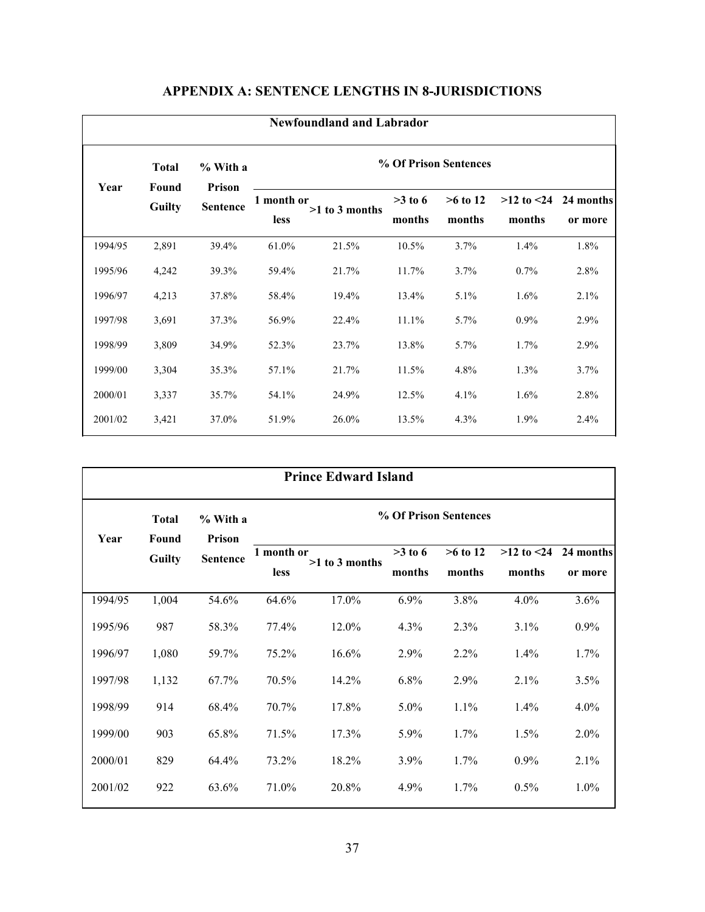|         | <b>Newfoundland and Labrador</b> |                           |                           |                |                       |                      |                           |                      |  |  |  |  |
|---------|----------------------------------|---------------------------|---------------------------|----------------|-----------------------|----------------------|---------------------------|----------------------|--|--|--|--|
| Year    | <b>Total</b><br>Found            | % With a<br><b>Prison</b> |                           |                | % Of Prison Sentences |                      |                           |                      |  |  |  |  |
|         | <b>Guilty</b>                    | <b>Sentence</b>           | 1 month or<br><b>less</b> | >1 to 3 months | $>3$ to 6<br>months   | $>6$ to 12<br>months | $>12$ to $< 24$<br>months | 24 months<br>or more |  |  |  |  |
| 1994/95 | 2,891                            | 39.4%                     | 61.0%                     | 21.5%          | 10.5%                 | 3.7%                 | 1.4%                      | 1.8%                 |  |  |  |  |
| 1995/96 | 4,242                            | 39.3%                     | 59.4%                     | 21.7%          | 11.7%                 | 3.7%                 | 0.7%                      | 2.8%                 |  |  |  |  |
| 1996/97 | 4,213                            | 37.8%                     | 58.4%                     | 19.4%          | 13.4%                 | 5.1%                 | 1.6%                      | 2.1%                 |  |  |  |  |
| 1997/98 | 3,691                            | 37.3%                     | 56.9%                     | 22.4%          | 11.1%                 | 5.7%                 | $0.9\%$                   | 2.9%                 |  |  |  |  |
| 1998/99 | 3,809                            | 34.9%                     | 52.3%                     | 23.7%          | 13.8%                 | 5.7%                 | $1.7\%$                   | 2.9%                 |  |  |  |  |
| 1999/00 | 3,304                            | 35.3%                     | 57.1%                     | 21.7%          | 11.5%                 | 4.8%                 | 1.3%                      | 3.7%                 |  |  |  |  |
| 2000/01 | 3,337                            | 35.7%                     | 54.1%                     | 24.9%          | 12.5%                 | 4.1%                 | 1.6%                      | 2.8%                 |  |  |  |  |
| 2001/02 | 3,421                            | 37.0%                     | 51.9%                     | 26.0%          | 13.5%                 | 4.3%                 | 1.9%                      | 2.4%                 |  |  |  |  |

# **APPENDIX A: SENTENCE LENGTHS IN 8-JURISDICTIONS**

|         | <b>Prince Edward Island</b> |                    |                       |                  |           |            |                |           |  |  |  |
|---------|-----------------------------|--------------------|-----------------------|------------------|-----------|------------|----------------|-----------|--|--|--|
| Year    | <b>Total</b><br>Found       | % With a<br>Prison | % Of Prison Sentences |                  |           |            |                |           |  |  |  |
|         | <b>Guilty</b>               | <b>Sentence</b>    | 1 month or            |                  | $>3$ to 6 | $>6$ to 12 | $>12$ to $<24$ | 24 months |  |  |  |
|         |                             |                    | less                  | $>1$ to 3 months | months    | months     | months         | or more   |  |  |  |
| 1994/95 | 1,004                       | 54.6%              | 64.6%                 | 17.0%            | 6.9%      | 3.8%       | 4.0%           | 3.6%      |  |  |  |
| 1995/96 | 987                         | 58.3%              | 77.4%                 | 12.0%            | 4.3%      | 2.3%       | 3.1%           | $0.9\%$   |  |  |  |
| 1996/97 | 1,080                       | 59.7%              | 75.2%                 | 16.6%            | 2.9%      | $2.2\%$    | 1.4%           | 1.7%      |  |  |  |
| 1997/98 | 1,132                       | 67.7%              | 70.5%                 | 14.2%            | 6.8%      | 2.9%       | 2.1%           | 3.5%      |  |  |  |
| 1998/99 | 914                         | 68.4%              | 70.7%                 | 17.8%            | $5.0\%$   | 1.1%       | $1.4\%$        | $4.0\%$   |  |  |  |
| 1999/00 | 903                         | 65.8%              | 71.5%                 | 17.3%            | 5.9%      | 1.7%       | 1.5%           | 2.0%      |  |  |  |
| 2000/01 | 829                         | 64.4%              | 73.2%                 | 18.2%            | 3.9%      | 1.7%       | $0.9\%$        | 2.1%      |  |  |  |
| 2001/02 | 922                         | 63.6%              | 71.0%                 | 20.8%            | 4.9%      | 1.7%       | 0.5%           | $1.0\%$   |  |  |  |
|         |                             |                    |                       |                  |           |            |                |           |  |  |  |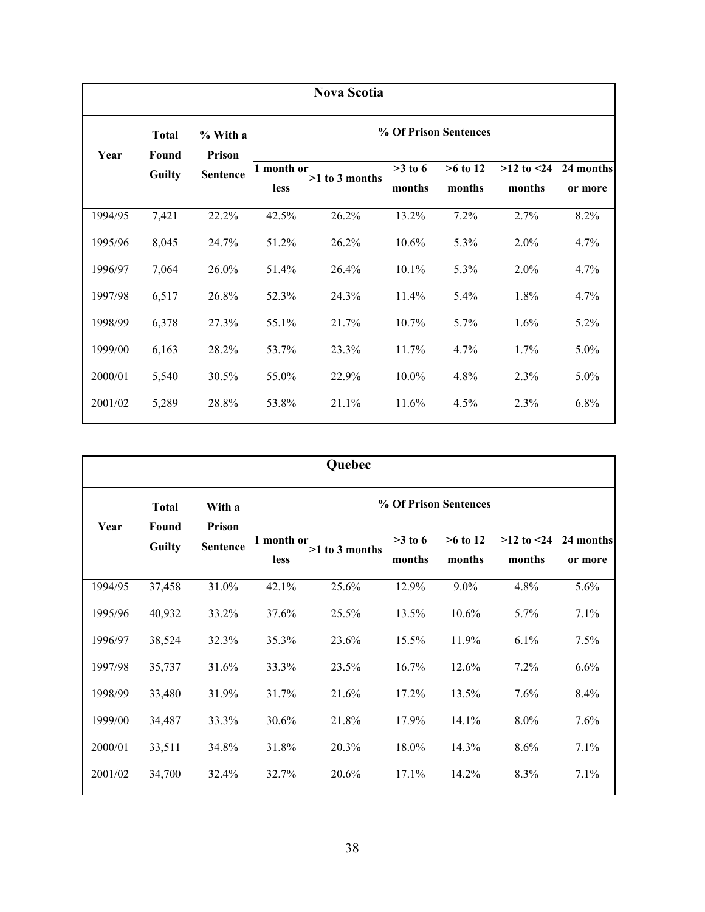|         | <b>Nova Scotia</b>    |                    |             |                       |           |            |                |           |  |  |  |  |
|---------|-----------------------|--------------------|-------------|-----------------------|-----------|------------|----------------|-----------|--|--|--|--|
| Year    | <b>Total</b><br>Found | % With a<br>Prison |             | % Of Prison Sentences |           |            |                |           |  |  |  |  |
|         | <b>Guilty</b>         | <b>Sentence</b>    | 1 month or  | $>1$ to 3 months      | $>3$ to 6 | $>6$ to 12 | $>12$ to $<24$ | 24 months |  |  |  |  |
|         |                       |                    | <b>less</b> |                       | months    | months     | months         | or more   |  |  |  |  |
| 1994/95 | 7,421                 | 22.2%              | 42.5%       | 26.2%                 | 13.2%     | 7.2%       | 2.7%           | 8.2%      |  |  |  |  |
| 1995/96 | 8,045                 | 24.7%              | 51.2%       | 26.2%                 | 10.6%     | 5.3%       | 2.0%           | 4.7%      |  |  |  |  |
| 1996/97 | 7,064                 | 26.0%              | 51.4%       | 26.4%                 | $10.1\%$  | $5.3\%$    | 2.0%           | 4.7%      |  |  |  |  |
| 1997/98 | 6,517                 | 26.8%              | 52.3%       | 24.3%                 | 11.4%     | 5.4%       | 1.8%           | 4.7%      |  |  |  |  |
| 1998/99 | 6,378                 | 27.3%              | 55.1%       | 21.7%                 | $10.7\%$  | $5.7\%$    | 1.6%           | 5.2%      |  |  |  |  |
| 1999/00 | 6,163                 | 28.2%              | 53.7%       | 23.3%                 | 11.7%     | 4.7%       | $1.7\%$        | $5.0\%$   |  |  |  |  |
| 2000/01 | 5,540                 | 30.5%              | 55.0%       | 22.9%                 | $10.0\%$  | 4.8%       | 2.3%           | $5.0\%$   |  |  |  |  |
| 2001/02 | 5,289                 | 28.8%              | 53.8%       | 21.1%                 | 11.6%     | 4.5%       | 2.3%           | 6.8%      |  |  |  |  |

|         | Quebec                 |                                  |                           |                  |                     |                       |                          |                      |  |  |  |  |
|---------|------------------------|----------------------------------|---------------------------|------------------|---------------------|-----------------------|--------------------------|----------------------|--|--|--|--|
|         | <b>Total</b>           | With a                           |                           |                  |                     | % Of Prison Sentences |                          |                      |  |  |  |  |
| Year    | Found<br><b>Guilty</b> | <b>Prison</b><br><b>Sentence</b> | 1 month or<br><b>less</b> | $>1$ to 3 months | $>3$ to 6<br>months | $>6$ to 12<br>months  | $>12$ to $<24$<br>months | 24 months<br>or more |  |  |  |  |
| 1994/95 | 37,458                 | 31.0%                            | 42.1%                     | 25.6%            | 12.9%               | $9.0\%$               | 4.8%                     | 5.6%                 |  |  |  |  |
| 1995/96 | 40,932                 | 33.2%                            | 37.6%                     | 25.5%            | 13.5%               | 10.6%                 | 5.7%                     | 7.1%                 |  |  |  |  |
| 1996/97 | 38,524                 | 32.3%                            | 35.3%                     | 23.6%            | 15.5%               | 11.9%                 | 6.1%                     | 7.5%                 |  |  |  |  |
| 1997/98 | 35,737                 | 31.6%                            | 33.3%                     | 23.5%            | 16.7%               | 12.6%                 | 7.2%                     | 6.6%                 |  |  |  |  |
| 1998/99 | 33,480                 | 31.9%                            | 31.7%                     | 21.6%            | 17.2%               | 13.5%                 | 7.6%                     | 8.4%                 |  |  |  |  |
| 1999/00 | 34,487                 | 33.3%                            | 30.6%                     | 21.8%            | 17.9%               | 14.1%                 | 8.0%                     | 7.6%                 |  |  |  |  |
| 2000/01 | 33,511                 | 34.8%                            | 31.8%                     | 20.3%            | 18.0%               | 14.3%                 | 8.6%                     | 7.1%                 |  |  |  |  |
| 2001/02 | 34,700                 | 32.4%                            | 32.7%                     | 20.6%            | 17.1%               | 14.2%                 | 8.3%                     | 7.1%                 |  |  |  |  |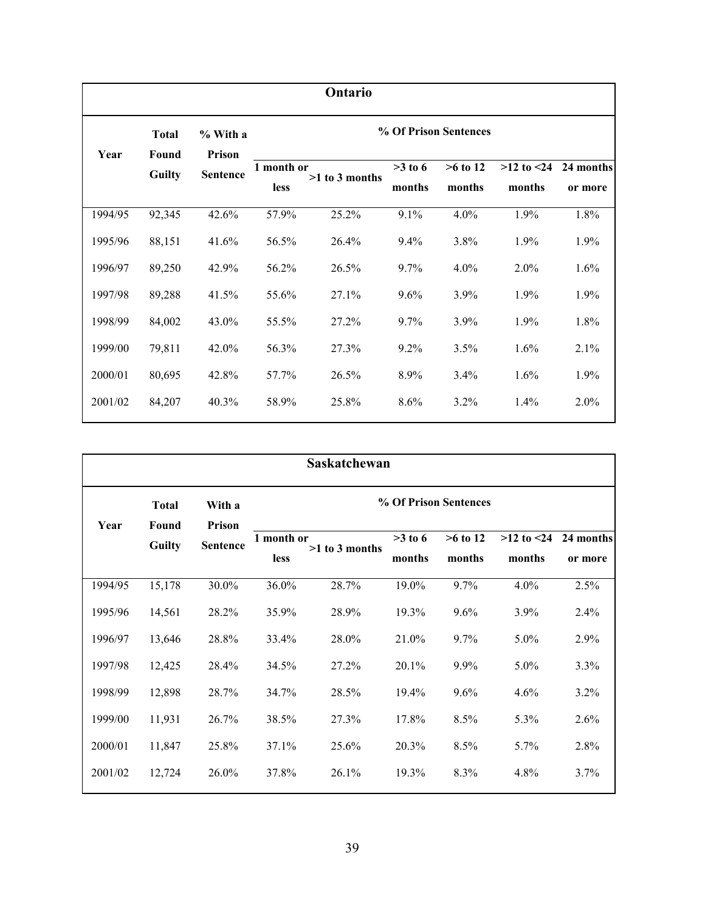|         | Ontario                |                    |                           |                  |                     |                       |                          |                      |  |  |  |  |
|---------|------------------------|--------------------|---------------------------|------------------|---------------------|-----------------------|--------------------------|----------------------|--|--|--|--|
| Year    | <b>Total</b>           | % With a<br>Prison |                           |                  |                     | % Of Prison Sentences |                          |                      |  |  |  |  |
|         | Found<br><b>Guilty</b> | <b>Sentence</b>    | 1 month or<br><b>less</b> | $>1$ to 3 months | $>3$ to 6<br>months | $>6$ to 12<br>months  | $>12$ to $<24$<br>months | 24 months<br>or more |  |  |  |  |
| 1994/95 | 92,345                 | 42.6%              | 57.9%                     | 25.2%            | 9.1%                | 4.0%                  | 1.9%                     | 1.8%                 |  |  |  |  |
| 1995/96 | 88,151                 | 41.6%              | 56.5%                     | 26.4%            | 9.4%                | 3.8%                  | 1.9%                     | 1.9%                 |  |  |  |  |
| 1996/97 | 89,250                 | 42.9%              | 56.2%                     | 26.5%            | 9.7%                | 4.0%                  | 2.0%                     | 1.6%                 |  |  |  |  |
| 1997/98 | 89,288                 | 41.5%              | 55.6%                     | 27.1%            | 9.6%                | 3.9%                  | 1.9%                     | 1.9%                 |  |  |  |  |
| 1998/99 | 84,002                 | 43.0%              | 55.5%                     | 27.2%            | 9.7%                | 3.9%                  | 1.9%                     | 1.8%                 |  |  |  |  |
| 1999/00 | 79,811                 | 42.0%              | 56.3%                     | 27.3%            | 9.2%                | 3.5%                  | 1.6%                     | 2.1%                 |  |  |  |  |
| 2000/01 | 80,695                 | 42.8%              | 57.7%                     | 26.5%            | 8.9%                | 3.4%                  | 1.6%                     | 1.9%                 |  |  |  |  |
| 2001/02 | 84,207                 | 40.3%              | 58.9%                     | 25.8%            | 8.6%                | $3.2\%$               | 1.4%                     | $2.0\%$              |  |  |  |  |

|         | Saskatchewan          |                  |             |                       |           |            |                |           |  |  |  |  |
|---------|-----------------------|------------------|-------------|-----------------------|-----------|------------|----------------|-----------|--|--|--|--|
| Year    | <b>Total</b><br>Found | With a<br>Prison |             | % Of Prison Sentences |           |            |                |           |  |  |  |  |
|         | <b>Guilty</b>         | <b>Sentence</b>  | 1 month or  | $>1$ to 3 months      | $>3$ to 6 | $>6$ to 12 | $>12$ to $<24$ | 24 months |  |  |  |  |
|         |                       |                  | <b>less</b> |                       | months    | months     | months         | or more   |  |  |  |  |
| 1994/95 | 15,178                | 30.0%            | 36.0%       | 28.7%                 | 19.0%     | 9.7%       | 4.0%           | 2.5%      |  |  |  |  |
| 1995/96 | 14,561                | 28.2%            | 35.9%       | 28.9%                 | 19.3%     | $9.6\%$    | 3.9%           | 2.4%      |  |  |  |  |
| 1996/97 | 13,646                | 28.8%            | 33.4%       | 28.0%                 | 21.0%     | $9.7\%$    | 5.0%           | 2.9%      |  |  |  |  |
| 1997/98 | 12,425                | 28.4%            | 34.5%       | 27.2%                 | 20.1%     | $9.9\%$    | $5.0\%$        | 3.3%      |  |  |  |  |
| 1998/99 | 12,898                | 28.7%            | 34.7%       | 28.5%                 | 19.4%     | $9.6\%$    | 4.6%           | $3.2\%$   |  |  |  |  |
| 1999/00 | 11,931                | 26.7%            | 38.5%       | 27.3%                 | 17.8%     | 8.5%       | 5.3%           | 2.6%      |  |  |  |  |
| 2000/01 | 11,847                | 25.8%            | 37.1%       | 25.6%                 | 20.3%     | 8.5%       | $5.7\%$        | 2.8%      |  |  |  |  |
| 2001/02 | 12,724                | 26.0%            | 37.8%       | 26.1%                 | 19.3%     | 8.3%       | 4.8%           | 3.7%      |  |  |  |  |